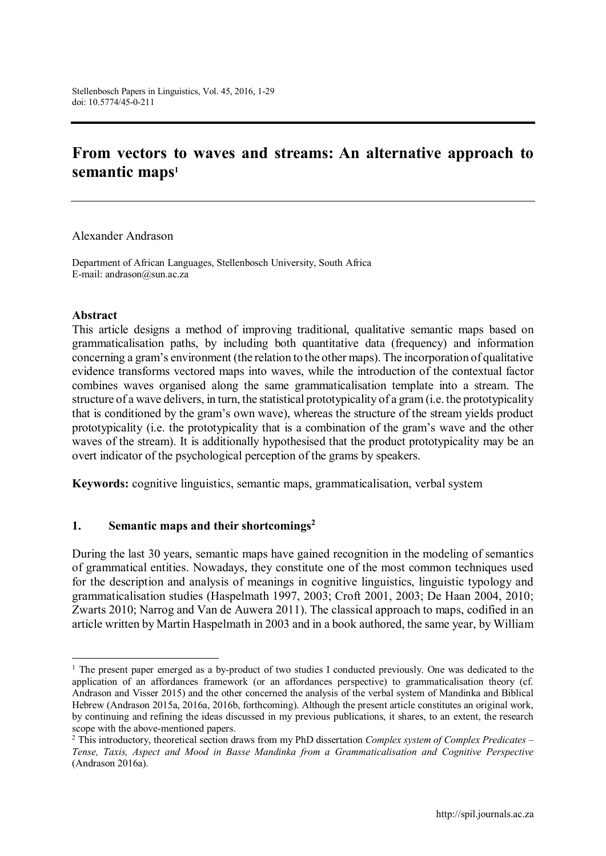# **From vectors to waves and streams: An alternative approach to**  semantic maps<sup>1</sup>

Alexander Andrason

Department of African Languages, Stellenbosch University, South Africa E-mail: andrason@sun.ac.za

#### **Abstract**

This article designs a method of improving traditional, qualitative semantic maps based on grammaticalisation paths, by including both quantitative data (frequency) and information concerning a gram's environment (the relation to the other maps). The incorporation of qualitative evidence transforms vectored maps into waves, while the introduction of the contextual factor combines waves organised along the same grammaticalisation template into a stream. The structure of a wave delivers, in turn, the statistical prototypicality of a gram (i.e. the prototypicality that is conditioned by the gram's own wave), whereas the structure of the stream yields product prototypicality (i.e. the prototypicality that is a combination of the gram's wave and the other waves of the stream). It is additionally hypothesised that the product prototypicality may be an overt indicator of the psychological perception of the grams by speakers.

**Keywords:** cognitive linguistics, semantic maps, grammaticalisation, verbal system

#### **1. Semantic maps and their shortcomings<sup>2</sup>**

During the last 30 years, semantic maps have gained recognition in the modeling of semantics of grammatical entities. Nowadays, they constitute one of the most common techniques used for the description and analysis of meanings in cognitive linguistics, linguistic typology and grammaticalisation studies (Haspelmath 1997, 2003; Croft 2001, 2003; De Haan 2004, 2010; Zwarts 2010; Narrog and Van de Auwera 2011). The classical approach to maps, codified in an article written by Martin Haspelmath in 2003 and in a book authored, the same year, by William

<sup>&</sup>lt;sup>1</sup> The present paper emerged as a by-product of two studies I conducted previously. One was dedicated to the application of an affordances framework (or an affordances perspective) to grammaticalisation theory (cf. Andrason and Visser 2015) and the other concerned the analysis of the verbal system of Mandinka and Biblical Hebrew (Andrason 2015a, 2016a, 2016b, forthcoming). Although the present article constitutes an original work, by continuing and refining the ideas discussed in my previous publications, it shares, to an extent, the research scope with the above-mentioned papers.

<sup>2</sup> This introductory, theoretical section draws from my PhD dissertation *Complex system of Complex Predicates* – *Tense, Taxis, Aspect and Mood in Basse Mandinka from a Grammaticalisation and Cognitive Perspective*  (Andrason 2016a).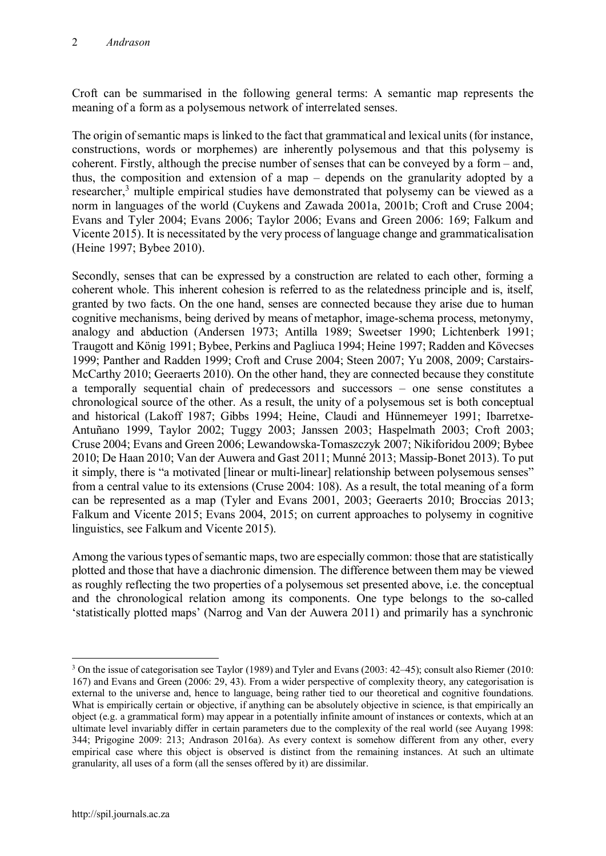Croft can be summarised in the following general terms: A semantic map represents the meaning of a form as a polysemous network of interrelated senses.

The origin of semantic maps is linked to the fact that grammatical and lexical units (for instance, constructions, words or morphemes) are inherently polysemous and that this polysemy is coherent. Firstly, although the precise number of senses that can be conveyed by a form – and, thus, the composition and extension of a map – depends on the granularity adopted by a researcher,<sup>3</sup> multiple empirical studies have demonstrated that polysemy can be viewed as a norm in languages of the world (Cuykens and Zawada 2001a, 2001b; Croft and Cruse 2004; Evans and Tyler 2004; Evans 2006; Taylor 2006; Evans and Green 2006: 169; Falkum and Vicente 2015). It is necessitated by the very process of language change and grammaticalisation (Heine 1997; Bybee 2010).

Secondly, senses that can be expressed by a construction are related to each other, forming a coherent whole. This inherent cohesion is referred to as the relatedness principle and is, itself, granted by two facts. On the one hand, senses are connected because they arise due to human cognitive mechanisms, being derived by means of metaphor, image-schema process, metonymy, analogy and abduction (Andersen 1973; Antilla 1989; Sweetser 1990; Lichtenberk 1991; Traugott and König 1991; Bybee, Perkins and Pagliuca 1994; Heine 1997; Radden and Kövecses 1999; Panther and Radden 1999; Croft and Cruse 2004; Steen 2007; Yu 2008, 2009; Carstairs-McCarthy 2010: Geeraerts 2010). On the other hand, they are connected because they constitute a temporally sequential chain of predecessors and successors – one sense constitutes a chronological source of the other. As a result, the unity of a polysemous set is both conceptual and historical (Lakoff 1987; Gibbs 1994; Heine, Claudi and Hünnemeyer 1991; Ibarretxe-Antuñano 1999, Taylor 2002; Tuggy 2003; Janssen 2003; Haspelmath 2003; Croft 2003; Cruse 2004; Evans and Green 2006; Lewandowska-Tomaszczyk 2007; Nikiforidou 2009; Bybee 2010; De Haan 2010; Van der Auwera and Gast 2011; Munné 2013; Massip-Bonet 2013). To put it simply, there is "a motivated [linear or multi-linear] relationship between polysemous senses" from a central value to its extensions (Cruse 2004: 108). As a result, the total meaning of a form can be represented as a map (Tyler and Evans 2001, 2003; Geeraerts 2010; Broccias 2013; Falkum and Vicente 2015; Evans 2004, 2015; on current approaches to polysemy in cognitive linguistics, see Falkum and Vicente 2015).

Among the various types of semantic maps, two are especially common: those that are statistically plotted and those that have a diachronic dimension. The difference between them may be viewed as roughly reflecting the two properties of a polysemous set presented above, i.e. the conceptual and the chronological relation among its components. One type belongs to the so-called 'statistically plotted maps' (Narrog and Van der Auwera 2011) and primarily has a synchronic

 <sup>3</sup> On the issue of categorisation see Taylor (1989) and Tyler and Evans (2003: 42–45); consult also Riemer (2010: 167) and Evans and Green (2006: 29, 43). From a wider perspective of complexity theory, any categorisation is external to the universe and, hence to language, being rather tied to our theoretical and cognitive foundations. What is empirically certain or objective, if anything can be absolutely objective in science, is that empirically an object (e.g. a grammatical form) may appear in a potentially infinite amount of instances or contexts, which at an ultimate level invariably differ in certain parameters due to the complexity of the real world (see Auyang 1998: 344; Prigogine 2009: 213; Andrason 2016a). As every context is somehow different from any other, every empirical case where this object is observed is distinct from the remaining instances. At such an ultimate granularity, all uses of a form (all the senses offered by it) are dissimilar.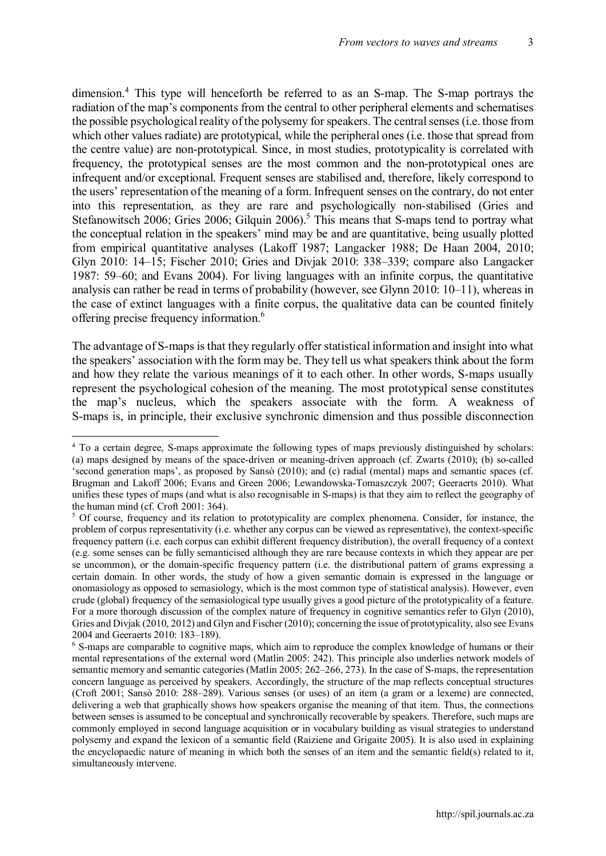dimension.<sup>4</sup> This type will henceforth be referred to as an S-map. The S-map portrays the radiation of the map's components from the central to other peripheral elements and schematises the possible psychological reality of the polysemy for speakers. The central senses (i.e. those from which other values radiate) are prototypical, while the peripheral ones (i.e. those that spread from the centre value) are non-prototypical. Since, in most studies, prototypicality is correlated with frequency, the prototypical senses are the most common and the non-prototypical ones are infrequent and/or exceptional. Frequent senses are stabilised and, therefore, likely correspond to the users' representation of the meaning of a form. Infrequent senses on the contrary, do not enter into this representation, as they are rare and psychologically non-stabilised (Gries and Stefanowitsch 2006; Gries 2006; Gilquin 2006). <sup>5</sup> This means that S-maps tend to portray what the conceptual relation in the speakers' mind may be and are quantitative, being usually plotted from empirical quantitative analyses (Lakoff 1987; Langacker 1988; De Haan 2004, 2010; Glyn 2010: 14–15; Fischer 2010; Gries and Divjak 2010: 338–339; compare also Langacker 1987: 59–60; and Evans 2004). For living languages with an infinite corpus, the quantitative analysis can rather be read in terms of probability (however, see Glynn 2010: 10–11), whereas in the case of extinct languages with a finite corpus, the qualitative data can be counted finitely offering precise frequency information.6

The advantage of S-maps is that they regularly offer statistical information and insight into what the speakers' association with the form may be. They tell us what speakers think about the form and how they relate the various meanings of it to each other. In other words, S-maps usually represent the psychological cohesion of the meaning. The most prototypical sense constitutes the map's nucleus, which the speakers associate with the form. A weakness of S-maps is, in principle, their exclusive synchronic dimension and thus possible disconnection

 <sup>4</sup> To a certain degree, S-maps approximate the following types of maps previously distinguished by scholars: (a) maps designed by means of the space-driven or meaning-driven approach (cf. Zwarts (2010); (b) so-called 'second generation maps', as proposed by Sansò (2010); and (c) radial (mental) maps and semantic spaces (cf. Brugman and Lakoff 2006; Evans and Green 2006; Lewandowska-Tomaszczyk 2007; Geeraerts 2010). What unifies these types of maps (and what is also recognisable in S-maps) is that they aim to reflect the geography of the human mind (cf. Croft 2001: 364).

<sup>5</sup> Of course, frequency and its relation to prototypicality are complex phenomena. Consider, for instance, the problem of corpus representativity (i.e. whether any corpus can be viewed as representative), the context-specific frequency pattern (i.e. each corpus can exhibit different frequency distribution), the overall frequency of a context (e.g. some senses can be fully semanticised although they are rare because contexts in which they appear are per se uncommon), or the domain-specific frequency pattern (i.e. the distributional pattern of grams expressing a certain domain. In other words, the study of how a given semantic domain is expressed in the language or onomasiology as opposed to semasiology, which is the most common type of statistical analysis). However, even crude (global) frequency of the semasiological type usually gives a good picture of the prototypicality of a feature. For a more thorough discussion of the complex nature of frequency in cognitive semantics refer to Glyn (2010), Gries and Divjak (2010, 2012) and Glyn and Fischer (2010); concerning the issue of prototypicality, also see Evans 2004 and Geeraerts 2010: 183–189).

<sup>&</sup>lt;sup>6</sup> S-maps are comparable to cognitive maps, which aim to reproduce the complex knowledge of humans or their mental representations of the external word (Matlin 2005: 242). This principle also underlies network models of semantic memory and semantic categories (Matlin 2005: 262–266, 273). In the case of S-maps, the representation concern language as perceived by speakers. Accordingly, the structure of the map reflects conceptual structures (Croft 2001; Sansò 2010: 288–289). Various senses (or uses) of an item (a gram or a lexeme) are connected, delivering a web that graphically shows how speakers organise the meaning of that item. Thus, the connections between senses is assumed to be conceptual and synchronically recoverable by speakers. Therefore, such maps are commonly employed in second language acquisition or in vocabulary building as visual strategies to understand polysemy and expand the lexicon of a semantic field (Raiziene and Grigaite 2005). It is also used in explaining the encyclopaedic nature of meaning in which both the senses of an item and the semantic field(s) related to it, simultaneously intervene.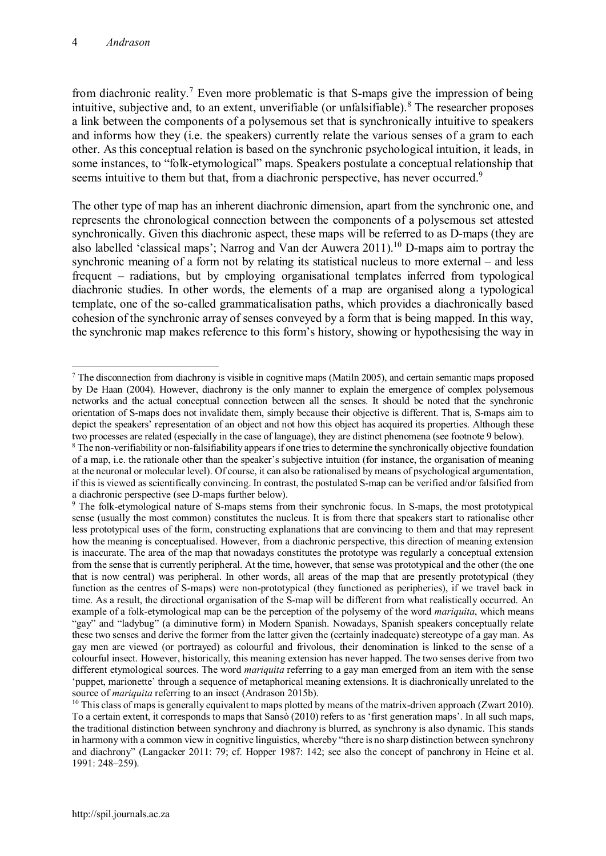from diachronic reality.<sup>7</sup> Even more problematic is that S-maps give the impression of being intuitive, subjective and, to an extent, unverifiable (or unfalsifiable).<sup>8</sup> The researcher proposes a link between the components of a polysemous set that is synchronically intuitive to speakers and informs how they (i.e. the speakers) currently relate the various senses of a gram to each other. As this conceptual relation is based on the synchronic psychological intuition, it leads, in some instances, to "folk-etymological" maps. Speakers postulate a conceptual relationship that seems intuitive to them but that, from a diachronic perspective, has never occurred.<sup>9</sup>

The other type of map has an inherent diachronic dimension, apart from the synchronic one, and represents the chronological connection between the components of a polysemous set attested synchronically. Given this diachronic aspect, these maps will be referred to as D-maps (they are also labelled 'classical maps'; Narrog and Van der Auwera 2011).<sup>10</sup> D-maps aim to portray the synchronic meaning of a form not by relating its statistical nucleus to more external – and less frequent – radiations, but by employing organisational templates inferred from typological diachronic studies. In other words, the elements of a map are organised along a typological template, one of the so-called grammaticalisation paths, which provides a diachronically based cohesion of the synchronic array of senses conveyed by a form that is being mapped. In this way, the synchronic map makes reference to this form's history, showing or hypothesising the way in

 <sup>7</sup> The disconnection from diachrony is visible in cognitive maps (Matiln 2005), and certain semantic maps proposed by De Haan (2004). However, diachrony is the only manner to explain the emergence of complex polysemous networks and the actual conceptual connection between all the senses. It should be noted that the synchronic orientation of S-maps does not invalidate them, simply because their objective is different. That is, S-maps aim to depict the speakers' representation of an object and not how this object has acquired its properties. Although these two processes are related (especially in the case of language), they are distinct phenomena (see footnote 9 below).

<sup>8</sup> The non-verifiability or non-falsifiability appears if one tries to determine the synchronically objective foundation of a map, i.e. the rationale other than the speaker's subjective intuition (for instance, the organisation of meaning at the neuronal or molecular level). Of course, it can also be rationalised by means of psychological argumentation, if this is viewed as scientifically convincing. In contrast, the postulated S-map can be verified and/or falsified from a diachronic perspective (see D-maps further below).

<sup>&</sup>lt;sup>9</sup> The folk-etymological nature of S-maps stems from their synchronic focus. In S-maps, the most prototypical sense (usually the most common) constitutes the nucleus. It is from there that speakers start to rationalise other less prototypical uses of the form, constructing explanations that are convincing to them and that may represent how the meaning is conceptualised. However, from a diachronic perspective, this direction of meaning extension is inaccurate. The area of the map that nowadays constitutes the prototype was regularly a conceptual extension from the sense that is currently peripheral. At the time, however, that sense was prototypical and the other (the one that is now central) was peripheral. In other words, all areas of the map that are presently prototypical (they function as the centres of S-maps) were non-prototypical (they functioned as peripheries), if we travel back in time. As a result, the directional organisation of the S-map will be different from what realistically occurred. An example of a folk-etymological map can be the perception of the polysemy of the word *mariquita*, which means "gay" and "ladybug" (a diminutive form) in Modern Spanish. Nowadays, Spanish speakers conceptually relate these two senses and derive the former from the latter given the (certainly inadequate) stereotype of a gay man. As gay men are viewed (or portrayed) as colourful and frivolous, their denomination is linked to the sense of a colourful insect. However, historically, this meaning extension has never happed. The two senses derive from two different etymological sources. The word *mariquita* referring to a gay man emerged from an item with the sense 'puppet, marionette' through a sequence of metaphorical meaning extensions. It is diachronically unrelated to the source of *mariquita* referring to an insect (Andrason 2015b).

 $10$  This class of maps is generally equivalent to maps plotted by means of the matrix-driven approach (Zwart 2010). To a certain extent, it corresponds to maps that Sansò (2010) refers to as 'first generation maps'. In all such maps, the traditional distinction between synchrony and diachrony is blurred, as synchrony is also dynamic. This stands in harmony with a common view in cognitive linguistics, whereby "there is no sharp distinction between synchrony and diachrony" (Langacker 2011: 79; cf. Hopper 1987: 142; see also the concept of panchrony in Heine et al. 1991: 248–259).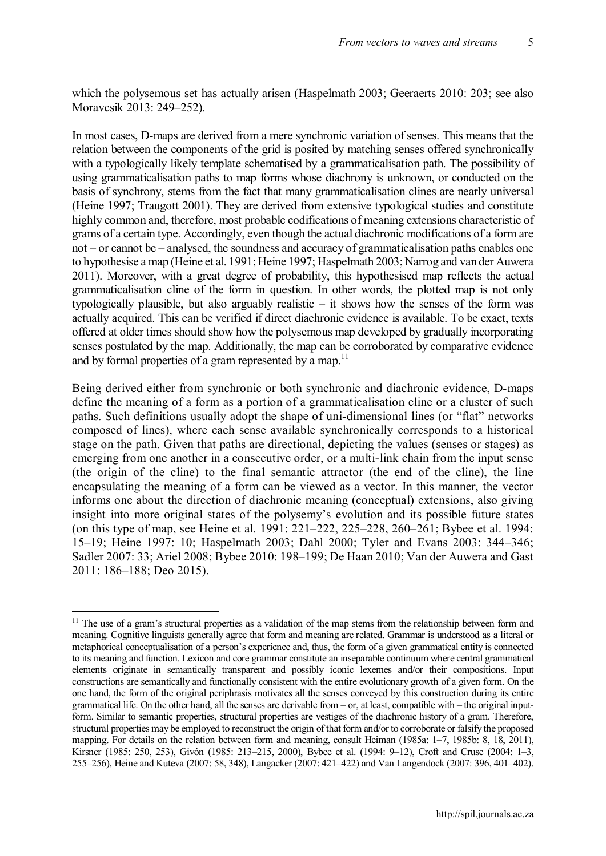which the polysemous set has actually arisen (Haspelmath 2003; Geeraerts 2010: 203; see also Moravcsik 2013: 249–252).

In most cases, D-maps are derived from a mere synchronic variation of senses. This means that the relation between the components of the grid is posited by matching senses offered synchronically with a typologically likely template schematised by a grammaticalisation path. The possibility of using grammaticalisation paths to map forms whose diachrony is unknown, or conducted on the basis of synchrony, stems from the fact that many grammaticalisation clines are nearly universal (Heine 1997; Traugott 2001). They are derived from extensive typological studies and constitute highly common and, therefore, most probable codifications of meaning extensions characteristic of grams of a certain type. Accordingly, even though the actual diachronic modifications of a form are not – or cannot be – analysed, the soundness and accuracy of grammaticalisation paths enables one to hypothesise a map (Heine et al. 1991; Heine 1997; Haspelmath 2003; Narrog and van der Auwera 2011). Moreover, with a great degree of probability, this hypothesised map reflects the actual grammaticalisation cline of the form in question. In other words, the plotted map is not only typologically plausible, but also arguably realistic – it shows how the senses of the form was actually acquired. This can be verified if direct diachronic evidence is available. To be exact, texts offered at older times should show how the polysemous map developed by gradually incorporating senses postulated by the map. Additionally, the map can be corroborated by comparative evidence and by formal properties of a gram represented by a map.<sup>11</sup>

Being derived either from synchronic or both synchronic and diachronic evidence, D-maps define the meaning of a form as a portion of a grammaticalisation cline or a cluster of such paths. Such definitions usually adopt the shape of uni-dimensional lines (or "flat" networks composed of lines), where each sense available synchronically corresponds to a historical stage on the path. Given that paths are directional, depicting the values (senses or stages) as emerging from one another in a consecutive order, or a multi-link chain from the input sense (the origin of the cline) to the final semantic attractor (the end of the cline), the line encapsulating the meaning of a form can be viewed as a vector. In this manner, the vector informs one about the direction of diachronic meaning (conceptual) extensions, also giving insight into more original states of the polysemy's evolution and its possible future states (on this type of map, see Heine et al. 1991: 221–222, 225–228, 260–261; Bybee et al. 1994: 15–19; Heine 1997: 10; Haspelmath 2003; Dahl 2000; Tyler and Evans 2003: 344–346; Sadler 2007: 33; Ariel 2008; Bybee 2010: 198–199; De Haan 2010; Van der Auwera and Gast 2011: 186–188; Deo 2015).

<sup>&</sup>lt;sup>11</sup> The use of a gram's structural properties as a validation of the map stems from the relationship between form and meaning. Cognitive linguists generally agree that form and meaning are related. Grammar is understood as a literal or metaphorical conceptualisation of a person's experience and, thus, the form of a given grammatical entity is connected to its meaning and function. Lexicon and core grammar constitute an inseparable continuum where central grammatical elements originate in semantically transparent and possibly iconic lexemes and/or their compositions. Input constructions are semantically and functionally consistent with the entire evolutionary growth of a given form. On the one hand, the form of the original periphrasis motivates all the senses conveyed by this construction during its entire grammatical life. On the other hand, all the senses are derivable from – or, at least, compatible with – the original inputform. Similar to semantic properties, structural properties are vestiges of the diachronic history of a gram. Therefore, structural properties may be employed to reconstruct the origin of that form and/or to corroborate or falsify the proposed mapping. For details on the relation between form and meaning, consult Heiman (1985a: 1–7, 1985b: 8, 18, 2011), Kirsner (1985: 250, 253), Givón (1985: 213–215, 2000), Bybee et al. (1994: 9–12), Croft and Cruse (2004: 1–3, 255–256), Heine and Kuteva **(**2007: 58, 348), Langacker (2007: 421–422) and Van Langendock (2007: 396, 401–402).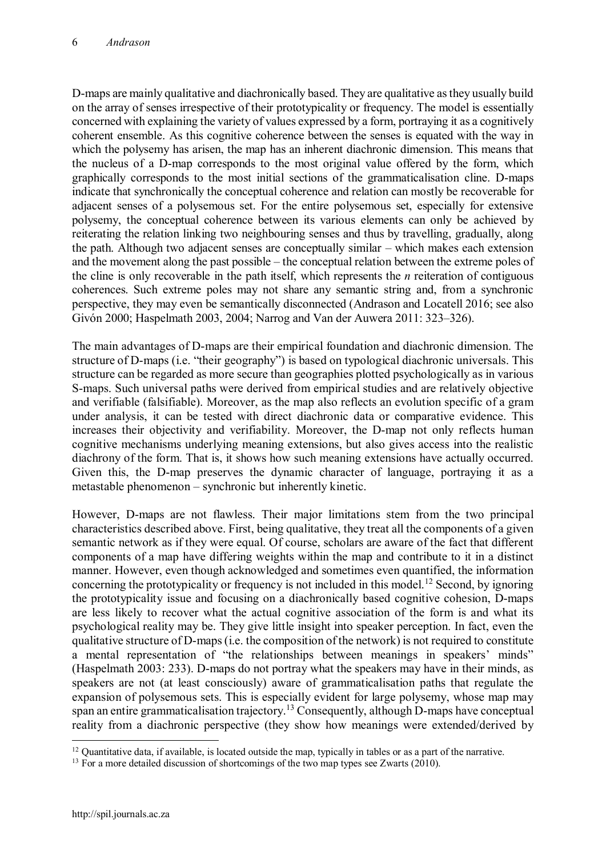D-maps are mainly qualitative and diachronically based. They are qualitative as they usually build on the array of senses irrespective of their prototypicality or frequency. The model is essentially concerned with explaining the variety of values expressed by a form, portraying it as a cognitively coherent ensemble. As this cognitive coherence between the senses is equated with the way in which the polysemy has arisen, the map has an inherent diachronic dimension. This means that the nucleus of a D-map corresponds to the most original value offered by the form, which graphically corresponds to the most initial sections of the grammaticalisation cline. D-maps indicate that synchronically the conceptual coherence and relation can mostly be recoverable for adjacent senses of a polysemous set. For the entire polysemous set, especially for extensive polysemy, the conceptual coherence between its various elements can only be achieved by reiterating the relation linking two neighbouring senses and thus by travelling, gradually, along the path. Although two adjacent senses are conceptually similar – which makes each extension and the movement along the past possible – the conceptual relation between the extreme poles of the cline is only recoverable in the path itself, which represents the *n* reiteration of contiguous coherences. Such extreme poles may not share any semantic string and, from a synchronic perspective, they may even be semantically disconnected (Andrason and Locatell 2016; see also Givón 2000; Haspelmath 2003, 2004; Narrog and Van der Auwera 2011: 323–326).

The main advantages of D-maps are their empirical foundation and diachronic dimension. The structure of D-maps (i.e. "their geography") is based on typological diachronic universals. This structure can be regarded as more secure than geographies plotted psychologically as in various S-maps. Such universal paths were derived from empirical studies and are relatively objective and verifiable (falsifiable). Moreover, as the map also reflects an evolution specific of a gram under analysis, it can be tested with direct diachronic data or comparative evidence. This increases their objectivity and verifiability. Moreover, the D-map not only reflects human cognitive mechanisms underlying meaning extensions, but also gives access into the realistic diachrony of the form. That is, it shows how such meaning extensions have actually occurred. Given this, the D-map preserves the dynamic character of language, portraying it as a metastable phenomenon – synchronic but inherently kinetic.

However, D-maps are not flawless. Their major limitations stem from the two principal characteristics described above. First, being qualitative, they treat all the components of a given semantic network as if they were equal. Of course, scholars are aware of the fact that different components of a map have differing weights within the map and contribute to it in a distinct manner. However, even though acknowledged and sometimes even quantified, the information concerning the prototypicality or frequency is not included in this model.<sup>12</sup> Second, by ignoring the prototypicality issue and focusing on a diachronically based cognitive cohesion, D-maps are less likely to recover what the actual cognitive association of the form is and what its psychological reality may be. They give little insight into speaker perception. In fact, even the qualitative structure of D-maps (i.e. the composition of the network) is not required to constitute a mental representation of "the relationships between meanings in speakers' minds" (Haspelmath 2003: 233). D-maps do not portray what the speakers may have in their minds, as speakers are not (at least consciously) aware of grammaticalisation paths that regulate the expansion of polysemous sets. This is especially evident for large polysemy, whose map may span an entire grammaticalisation trajectory.<sup>13</sup> Consequently, although D-maps have conceptual reality from a diachronic perspective (they show how meanings were extended/derived by

 $12$  Quantitative data, if available, is located outside the map, typically in tables or as a part of the narrative.

<sup>&</sup>lt;sup>13</sup> For a more detailed discussion of shortcomings of the two map types see Zwarts (2010).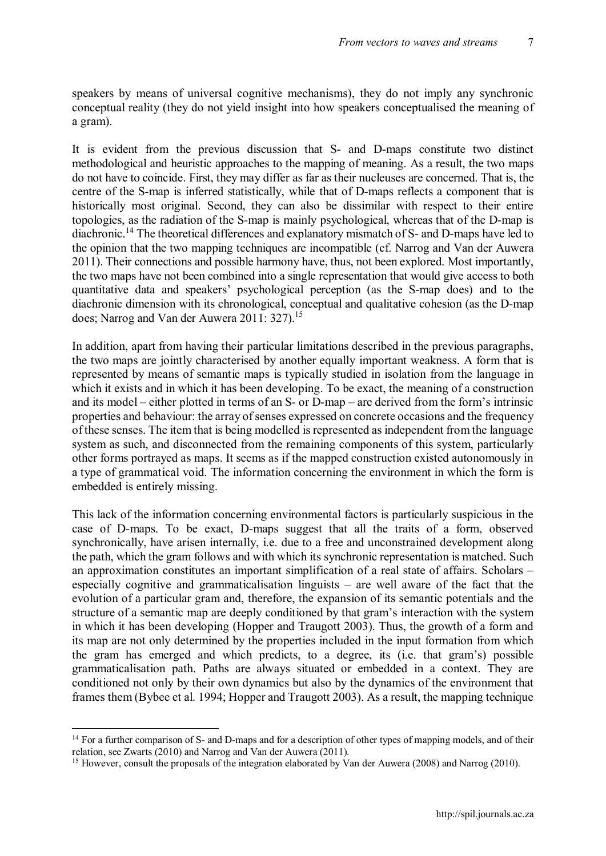speakers by means of universal cognitive mechanisms), they do not imply any synchronic conceptual reality (they do not yield insight into how speakers conceptualised the meaning of a gram).

It is evident from the previous discussion that S- and D-maps constitute two distinct methodological and heuristic approaches to the mapping of meaning. As a result, the two maps do not have to coincide. First, they may differ as far as their nucleuses are concerned. That is, the centre of the S-map is inferred statistically, while that of D-maps reflects a component that is historically most original. Second, they can also be dissimilar with respect to their entire topologies, as the radiation of the S-map is mainly psychological, whereas that of the D-map is diachronic.<sup>14</sup> The theoretical differences and explanatory mismatch of S- and D-maps have led to the opinion that the two mapping techniques are incompatible (cf. Narrog and Van der Auwera 2011). Their connections and possible harmony have, thus, not been explored. Most importantly, the two maps have not been combined into a single representation that would give access to both quantitative data and speakers' psychological perception (as the S-map does) and to the diachronic dimension with its chronological, conceptual and qualitative cohesion (as the D-map does; Narrog and Van der Auwera 2011: 327).15

In addition, apart from having their particular limitations described in the previous paragraphs, the two maps are jointly characterised by another equally important weakness. A form that is represented by means of semantic maps is typically studied in isolation from the language in which it exists and in which it has been developing. To be exact, the meaning of a construction and its model – either plotted in terms of an S- or D-map – are derived from the form's intrinsic properties and behaviour: the array of senses expressed on concrete occasions and the frequency of these senses. The item that is being modelled is represented as independent from the language system as such, and disconnected from the remaining components of this system, particularly other forms portrayed as maps. It seems as if the mapped construction existed autonomously in a type of grammatical void. The information concerning the environment in which the form is embedded is entirely missing.

This lack of the information concerning environmental factors is particularly suspicious in the case of D-maps. To be exact, D-maps suggest that all the traits of a form, observed synchronically, have arisen internally, i.e. due to a free and unconstrained development along the path, which the gram follows and with which its synchronic representation is matched. Such an approximation constitutes an important simplification of a real state of affairs. Scholars – especially cognitive and grammaticalisation linguists – are well aware of the fact that the evolution of a particular gram and, therefore, the expansion of its semantic potentials and the structure of a semantic map are deeply conditioned by that gram's interaction with the system in which it has been developing (Hopper and Traugott 2003). Thus, the growth of a form and its map are not only determined by the properties included in the input formation from which the gram has emerged and which predicts, to a degree, its (i.e. that gram's) possible grammaticalisation path. Paths are always situated or embedded in a context. They are conditioned not only by their own dynamics but also by the dynamics of the environment that frames them (Bybee et al. 1994; Hopper and Traugott 2003). As a result, the mapping technique

<sup>&</sup>lt;sup>14</sup> For a further comparison of S- and D-maps and for a description of other types of mapping models, and of their relation, see Zwarts (2010) and Narrog and Van der Auwera (2011).

<sup>&</sup>lt;sup>15</sup> However, consult the proposals of the integration elaborated by Van der Auwera (2008) and Narrog (2010).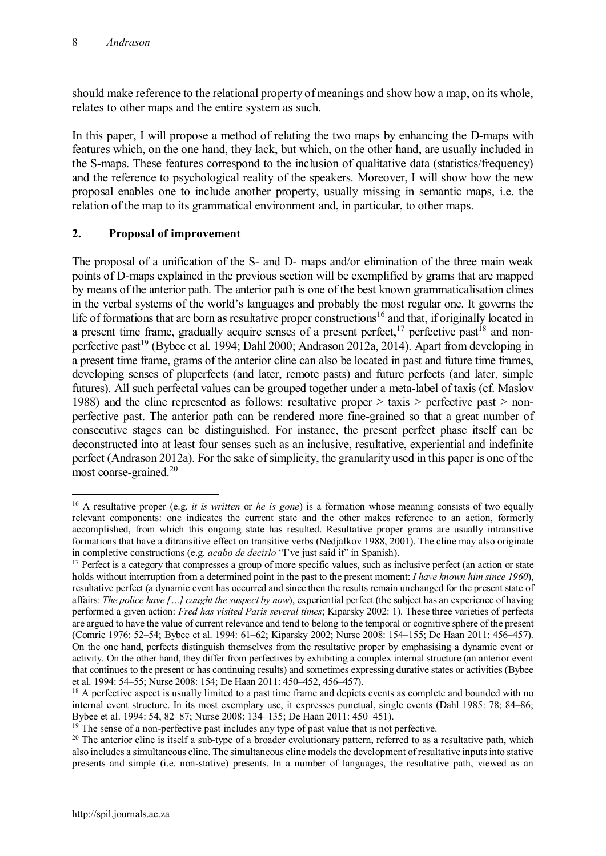should make reference to the relational property of meanings and show how a map, on its whole, relates to other maps and the entire system as such.

In this paper, I will propose a method of relating the two maps by enhancing the D-maps with features which, on the one hand, they lack, but which, on the other hand, are usually included in the S-maps. These features correspond to the inclusion of qualitative data (statistics/frequency) and the reference to psychological reality of the speakers. Moreover, I will show how the new proposal enables one to include another property, usually missing in semantic maps, i.e. the relation of the map to its grammatical environment and, in particular, to other maps.

# **2. Proposal of improvement**

The proposal of a unification of the S- and D- maps and/or elimination of the three main weak points of D-maps explained in the previous section will be exemplified by grams that are mapped by means of the anterior path. The anterior path is one of the best known grammaticalisation clines in the verbal systems of the world's languages and probably the most regular one. It governs the life of formations that are born as resultative proper constructions<sup>16</sup> and that, if originally located in a present time frame, gradually acquire senses of a present perfect, $17$  perfective past<sup>18</sup> and nonperfective past<sup>19</sup> (Bybee et al. 1994; Dahl 2000; Andrason 2012a, 2014). Apart from developing in a present time frame, grams of the anterior cline can also be located in past and future time frames, developing senses of pluperfects (and later, remote pasts) and future perfects (and later, simple futures). All such perfectal values can be grouped together under a meta-label of taxis (cf. Maslov 1988) and the cline represented as follows: resultative proper > taxis > perfective past > nonperfective past. The anterior path can be rendered more fine-grained so that a great number of consecutive stages can be distinguished. For instance, the present perfect phase itself can be deconstructed into at least four senses such as an inclusive, resultative, experiential and indefinite perfect (Andrason 2012a). For the sake of simplicity, the granularity used in this paper is one of the most coarse-grained.<sup>20</sup>

 <sup>16</sup> A resultative proper (e.g. *it is written* or *he is gone*) is a formation whose meaning consists of two equally relevant components: one indicates the current state and the other makes reference to an action, formerly accomplished, from which this ongoing state has resulted. Resultative proper grams are usually intransitive formations that have a ditransitive effect on transitive verbs (Nedjalkov 1988, 2001). The cline may also originate in completive constructions (e.g. *acabo de decirlo* "I've just said it" in Spanish).

<sup>&</sup>lt;sup>17</sup> Perfect is a category that compresses a group of more specific values, such as inclusive perfect (an action or state holds without interruption from a determined point in the past to the present moment: *I have known him since 1960*), resultative perfect (a dynamic event has occurred and since then the results remain unchanged for the present state of affairs: *The police have […] caught the suspect by now*), experiential perfect (the subject has an experience of having performed a given action: *Fred has visited Paris several times*; Kiparsky 2002: 1). These three varieties of perfects are argued to have the value of current relevance and tend to belong to the temporal or cognitive sphere of the present (Comrie 1976: 52–54; Bybee et al. 1994: 61–62; Kiparsky 2002; Nurse 2008: 154–155; De Haan 2011: 456–457). On the one hand, perfects distinguish themselves from the resultative proper by emphasising a dynamic event or activity. On the other hand, they differ from perfectives by exhibiting a complex internal structure (an anterior event that continues to the present or has continuing results) and sometimes expressing durative states or activities (Bybee et al. 1994: 54–55; Nurse 2008: 154; De Haan 2011: 450–452, 456–457).

<sup>&</sup>lt;sup>18</sup> A perfective aspect is usually limited to a past time frame and depicts events as complete and bounded with no internal event structure. In its most exemplary use, it expresses punctual, single events (Dahl 1985: 78; 84–86; Bybee et al. 1994: 54, 82–87; Nurse 2008: 134–135; De Haan 2011: 450–451).

 $19$ <sup>19</sup> The sense of a non-perfective past includes any type of past value that is not perfective.

<sup>&</sup>lt;sup>20</sup> The anterior cline is itself a sub-type of a broader evolutionary pattern, referred to as a resultative path, which also includes a simultaneous cline. The simultaneous cline models the development of resultative inputsinto stative presents and simple (i.e. non-stative) presents. In a number of languages, the resultative path, viewed as an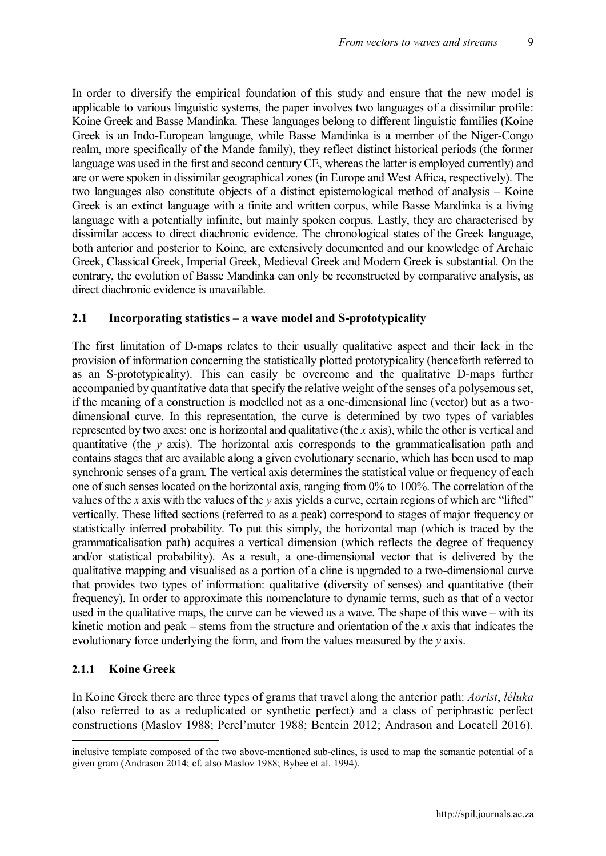In order to diversify the empirical foundation of this study and ensure that the new model is applicable to various linguistic systems, the paper involves two languages of a dissimilar profile: Koine Greek and Basse Mandinka. These languages belong to different linguistic families (Koine Greek is an Indo-European language, while Basse Mandinka is a member of the Niger-Congo realm, more specifically of the Mande family), they reflect distinct historical periods (the former language was used in the first and second century CE, whereas the latter is employed currently) and are or were spoken in dissimilar geographical zones (in Europe and West Africa, respectively). The two languages also constitute objects of a distinct epistemological method of analysis – Koine Greek is an extinct language with a finite and written corpus, while Basse Mandinka is a living language with a potentially infinite, but mainly spoken corpus. Lastly, they are characterised by dissimilar access to direct diachronic evidence. The chronological states of the Greek language, both anterior and posterior to Koine, are extensively documented and our knowledge of Archaic Greek, Classical Greek, Imperial Greek, Medieval Greek and Modern Greek is substantial. On the contrary, the evolution of Basse Mandinka can only be reconstructed by comparative analysis, as direct diachronic evidence is unavailable.

#### **2.1 Incorporating statistics – a wave model and S-prototypicality**

The first limitation of D-maps relates to their usually qualitative aspect and their lack in the provision of information concerning the statistically plotted prototypicality (henceforth referred to as an S-prototypicality). This can easily be overcome and the qualitative D-maps further accompanied by quantitative data that specify the relative weight of the senses of a polysemous set, if the meaning of a construction is modelled not as a one-dimensional line (vector) but as a twodimensional curve. In this representation, the curve is determined by two types of variables represented by two axes: one is horizontal and qualitative (the *x* axis), while the other is vertical and quantitative (the *y* axis). The horizontal axis corresponds to the grammaticalisation path and contains stages that are available along a given evolutionary scenario, which has been used to map synchronic senses of a gram. The vertical axis determines the statistical value or frequency of each one of such senses located on the horizontal axis, ranging from 0% to 100%. The correlation of the values of the *x* axis with the values of the *y* axis yields a curve, certain regions of which are "lifted" vertically. These lifted sections (referred to as a peak) correspond to stages of major frequency or statistically inferred probability. To put this simply, the horizontal map (which is traced by the grammaticalisation path) acquires a vertical dimension (which reflects the degree of frequency and/or statistical probability). As a result, a one-dimensional vector that is delivered by the qualitative mapping and visualised as a portion of a cline is upgraded to a two-dimensional curve that provides two types of information: qualitative (diversity of senses) and quantitative (their frequency). In order to approximate this nomenclature to dynamic terms, such as that of a vector used in the qualitative maps, the curve can be viewed as a wave. The shape of this wave – with its kinetic motion and peak – stems from the structure and orientation of the *x* axis that indicates the evolutionary force underlying the form, and from the values measured by the *y* axis.

## **2.1.1 Koine Greek**

In Koine Greek there are three types of grams that travel along the anterior path: *Aorist*, *léluka* (also referred to as a reduplicated or synthetic perfect) and a class of periphrastic perfect constructions (Maslov 1988; Perel'muter 1988; Bentein 2012; Andrason and Locatell 2016).

inclusive template composed of the two above-mentioned sub-clines, is used to map the semantic potential of a given gram (Andrason 2014; cf. also Maslov 1988; Bybee et al. 1994).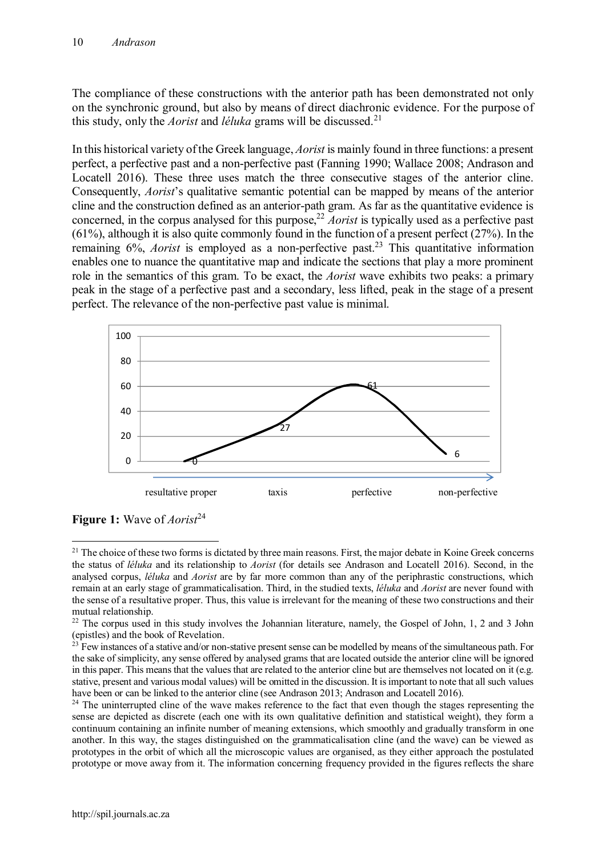The compliance of these constructions with the anterior path has been demonstrated not only on the synchronic ground, but also by means of direct diachronic evidence. For the purpose of this study, only the *Aorist* and *léluka* grams will be discussed.<sup>21</sup>

In this historical variety of the Greek language, *Aorist* is mainly found in three functions: a present perfect, a perfective past and a non-perfective past (Fanning 1990; Wallace 2008; Andrason and Locatell 2016). These three uses match the three consecutive stages of the anterior cline. Consequently, *Aorist*'s qualitative semantic potential can be mapped by means of the anterior cline and the construction defined as an anterior-path gram. As far as the quantitative evidence is concerned, in the corpus analysed for this purpose,<sup>22</sup> *Aorist* is typically used as a perfective past (61%), although it is also quite commonly found in the function of a present perfect (27%). In the remaining 6%, *Aorist* is employed as a non-perfective past.<sup>23</sup> This quantitative information enables one to nuance the quantitative map and indicate the sections that play a more prominent role in the semantics of this gram. To be exact, the *Aorist* wave exhibits two peaks: a primary peak in the stage of a perfective past and a secondary, less lifted, peak in the stage of a present perfect. The relevance of the non-perfective past value is minimal.



**Figure 1:** Wave of *Aorist*<sup>24</sup>

 $2<sup>1</sup>$  The choice of these two forms is dictated by three main reasons. First, the major debate in Koine Greek concerns the status of *léluka* and its relationship to *Aorist* (for details see Andrason and Locatell 2016). Second, in the analysed corpus, *léluka* and *Aorist* are by far more common than any of the periphrastic constructions, which remain at an early stage of grammaticalisation. Third, in the studied texts, *léluka* and *Aorist* are never found with the sense of a resultative proper. Thus, this value is irrelevant for the meaning of these two constructions and their mutual relationship.

<sup>&</sup>lt;sup>22</sup> The corpus used in this study involves the Johannian literature, namely, the Gospel of John, 1, 2 and 3 John (epistles) and the book of Revelation.

 $23$  Few instances of a stative and/or non-stative present sense can be modelled by means of the simultaneous path. For the sake of simplicity, any sense offered by analysed grams that are located outside the anterior cline will be ignored in this paper. This means that the values that are related to the anterior cline but are themselves not located on it (e.g. stative, present and various modal values) will be omitted in the discussion. It is important to note that all such values have been or can be linked to the anterior cline (see Andrason 2013; Andrason and Locatell 2016).

<sup>&</sup>lt;sup>24</sup> The uninterrupted cline of the wave makes reference to the fact that even though the stages representing the sense are depicted as discrete (each one with its own qualitative definition and statistical weight), they form a continuum containing an infinite number of meaning extensions, which smoothly and gradually transform in one another. In this way, the stages distinguished on the grammaticalisation cline (and the wave) can be viewed as prototypes in the orbit of which all the microscopic values are organised, as they either approach the postulated prototype or move away from it. The information concerning frequency provided in the figures reflects the share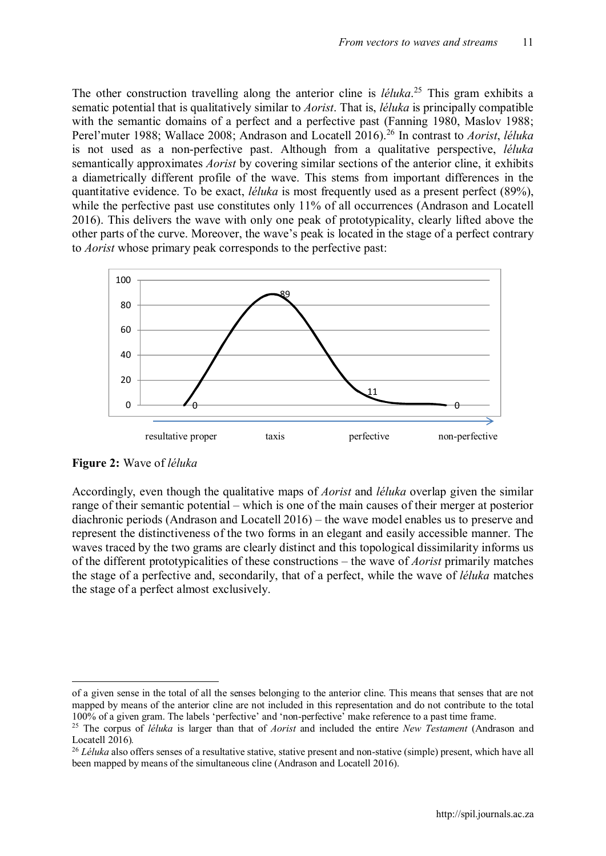The other construction travelling along the anterior cline is *léluka*. <sup>25</sup> This gram exhibits a sematic potential that is qualitatively similar to *Aorist*. That is, *léluka* is principally compatible with the semantic domains of a perfect and a perfective past (Fanning 1980, Maslov 1988; Perel'muter 1988; Wallace 2008; Andrason and Locatell 2016).<sup>26</sup> In contrast to *Aorist*, *léluka* is not used as a non-perfective past. Although from a qualitative perspective, *léluka* semantically approximates *Aorist* by covering similar sections of the anterior cline, it exhibits a diametrically different profile of the wave. This stems from important differences in the quantitative evidence. To be exact, *léluka* is most frequently used as a present perfect (89%), while the perfective past use constitutes only 11% of all occurrences (Andrason and Locatell 2016). This delivers the wave with only one peak of prototypicality, clearly lifted above the other parts of the curve. Moreover, the wave's peak is located in the stage of a perfect contrary to *Aorist* whose primary peak corresponds to the perfective past:



**Figure 2:** Wave of *léluka*

Accordingly, even though the qualitative maps of *Aorist* and *léluka* overlap given the similar range of their semantic potential – which is one of the main causes of their merger at posterior diachronic periods (Andrason and Locatell 2016) – the wave model enables us to preserve and represent the distinctiveness of the two forms in an elegant and easily accessible manner. The waves traced by the two grams are clearly distinct and this topological dissimilarity informs us of the different prototypicalities of these constructions – the wave of *Aorist* primarily matches the stage of a perfective and, secondarily, that of a perfect, while the wave of *léluka* matches the stage of a perfect almost exclusively.

of a given sense in the total of all the senses belonging to the anterior cline. This means that senses that are not mapped by means of the anterior cline are not included in this representation and do not contribute to the total 100% of a given gram. The labels 'perfective' and 'non-perfective' make reference to a past time frame.

<sup>25</sup> The corpus of *léluka* is larger than that of *Aorist* and included the entire *New Testament* (Andrason and Locatell 2016)*.*

<sup>&</sup>lt;sup>26</sup> *Léluka* also offers senses of a resultative stative, stative present and non-stative (simple) present, which have all been mapped by means of the simultaneous cline (Andrason and Locatell 2016).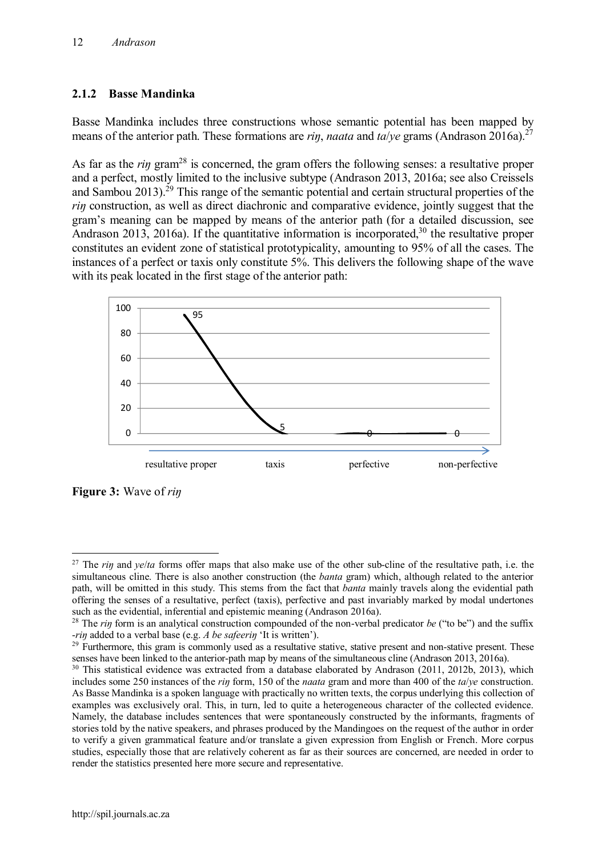## **2.1.2 Basse Mandinka**

Basse Mandinka includes three constructions whose semantic potential has been mapped by means of the anterior path. These formations are *riŋ*, *naata* and *ta*/*ye* grams (Andrason 2016a).27

As far as the *rin* gram<sup>28</sup> is concerned, the gram offers the following senses: a resultative proper and a perfect, mostly limited to the inclusive subtype (Andrason 2013, 2016a; see also Creissels and Sambou 2013).<sup>29</sup> This range of the semantic potential and certain structural properties of the *rin* construction, as well as direct diachronic and comparative evidence, jointly suggest that the gram's meaning can be mapped by means of the anterior path (for a detailed discussion, see Andrason 2013, 2016a). If the quantitative information is incorporated,  $30$  the resultative proper constitutes an evident zone of statistical prototypicality, amounting to 95% of all the cases. The instances of a perfect or taxis only constitute 5%. This delivers the following shape of the wave with its peak located in the first stage of the anterior path:



**Figure 3:** Wave of *riŋ*

<sup>&</sup>lt;sup>27</sup> The *rin* and *ye/ta* forms offer maps that also make use of the other sub-cline of the resultative path, i.e. the simultaneous cline. There is also another construction (the *banta* gram) which, although related to the anterior path, will be omitted in this study. This stems from the fact that *banta* mainly travels along the evidential path offering the senses of a resultative, perfect (taxis), perfective and past invariably marked by modal undertones such as the evidential, inferential and epistemic meaning (Andrason 2016a).

<sup>&</sup>lt;sup>28</sup> The *rin* form is an analytical construction compounded of the non-verbal predicator *be* ("to be") and the suffix -*riŋ* added to a verbal base (e.g. *A be safeeriŋ* 'It is written').

<sup>&</sup>lt;sup>29</sup> Furthermore, this gram is commonly used as a resultative stative, stative present and non-stative present. These senses have been linked to the anterior-path map by means of the simultaneous cline (Andrason 2013, 2016a).

<sup>&</sup>lt;sup>30</sup> This statistical evidence was extracted from a database elaborated by Andrason (2011, 2012b, 2013), which includes some 250 instances of the *riŋ* form, 150 of the *naata* gram and more than 400 of the *ta*/*ye* construction. As Basse Mandinka is a spoken language with practically no written texts, the corpus underlying this collection of examples was exclusively oral. This, in turn, led to quite a heterogeneous character of the collected evidence. Namely, the database includes sentences that were spontaneously constructed by the informants, fragments of stories told by the native speakers, and phrases produced by the Mandingoes on the request of the author in order to verify a given grammatical feature and/or translate a given expression from English or French. More corpus studies, especially those that are relatively coherent as far as their sources are concerned, are needed in order to render the statistics presented here more secure and representative.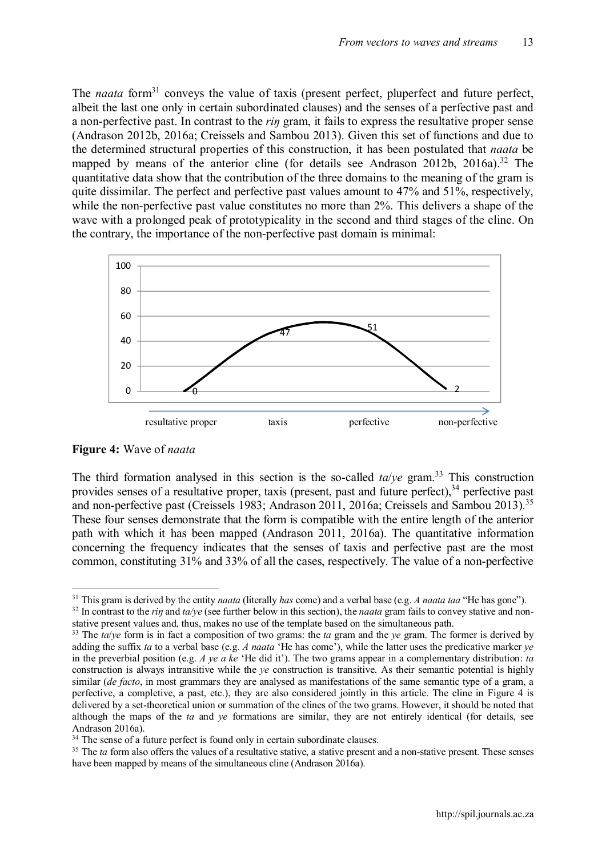The *naata* form<sup>31</sup> conveys the value of taxis (present perfect, pluperfect and future perfect, albeit the last one only in certain subordinated clauses) and the senses of a perfective past and a non-perfective past. In contrast to the *riŋ* gram, it fails to express the resultative proper sense (Andrason 2012b, 2016a; Creissels and Sambou 2013). Given this set of functions and due to the determined structural properties of this construction, it has been postulated that *naata* be mapped by means of the anterior cline (for details see Andrason 2012b, 2016a).<sup>32</sup> The quantitative data show that the contribution of the three domains to the meaning of the gram is quite dissimilar. The perfect and perfective past values amount to 47% and 51%, respectively, while the non-perfective past value constitutes no more than 2%. This delivers a shape of the wave with a prolonged peak of prototypicality in the second and third stages of the cline. On the contrary, the importance of the non-perfective past domain is minimal:



**Figure 4:** Wave of *naata*

The third formation analysed in this section is the so-called  $ta/ve$  gram.<sup>33</sup> This construction provides senses of a resultative proper, taxis (present, past and future perfect),  $34$  perfective past and non-perfective past (Creissels 1983; Andrason 2011, 2016a; Creissels and Sambou 2013).<sup>35</sup> These four senses demonstrate that the form is compatible with the entire length of the anterior path with which it has been mapped (Andrason 2011, 2016a). The quantitative information concerning the frequency indicates that the senses of taxis and perfective past are the most common, constituting 31% and 33% of all the cases, respectively. The value of a non-perfective

 <sup>31</sup> This gram is derived by the entity *naata* (literally *has* come) and a verbal base (e.g. *A naata taa* "He has gone").

<sup>&</sup>lt;sup>32</sup> In contrast to the *rin* and  $t\alpha/\nu e$  (see further below in this section), the *naata* gram fails to convey stative and nonstative present values and, thus, makes no use of the template based on the simultaneous path.

<sup>&</sup>lt;sup>33</sup> The  $ta/ye$  form is in fact a composition of two grams: the  $ta$  gram and the  $ye$  gram. The former is derived by adding the suffix *ta* to a verbal base (e.g. *A naata* 'He has come'), while the latter uses the predicative marker *ye* in the preverbial position (e.g. *A ye a ke* 'He did it'). The two grams appear in a complementary distribution: *ta* construction is always intransitive while the *ye* construction is transitive. As their semantic potential is highly similar (*de facto*, in most grammars they are analysed as manifestations of the same semantic type of a gram, a perfective, a completive, a past, etc.), they are also considered jointly in this article. The cline in Figure 4 is delivered by a set-theoretical union or summation of the clines of the two grams. However, it should be noted that although the maps of the *ta* and *ye* formations are similar, they are not entirely identical (for details, see Andrason 2016a).

<sup>&</sup>lt;sup>34</sup> The sense of a future perfect is found only in certain subordinate clauses.

<sup>&</sup>lt;sup>35</sup> The *ta* form also offers the values of a resultative stative, a stative present and a non-stative present. These senses have been mapped by means of the simultaneous cline (Andrason 2016a).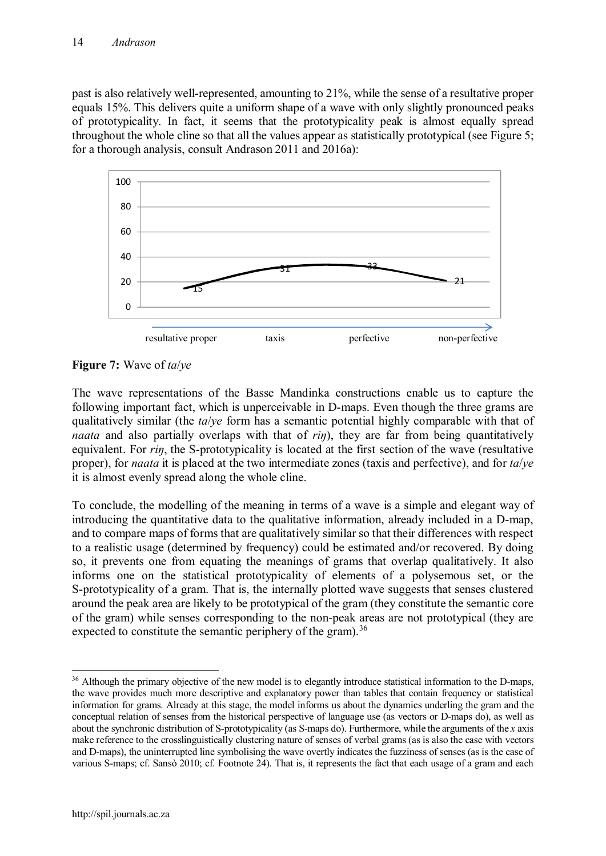past is also relatively well-represented, amounting to 21%, while the sense of a resultative proper equals 15%. This delivers quite a uniform shape of a wave with only slightly pronounced peaks of prototypicality. In fact, it seems that the prototypicality peak is almost equally spread throughout the whole cline so that all the values appear as statistically prototypical (see Figure 5; for a thorough analysis, consult Andrason 2011 and 2016a):



**Figure 7:** Wave of *ta*/*ye*

The wave representations of the Basse Mandinka constructions enable us to capture the following important fact, which is unperceivable in D-maps. Even though the three grams are qualitatively similar (the *ta*/*ye* form has a semantic potential highly comparable with that of *naata* and also partially overlaps with that of *rin*), they are far from being quantitatively equivalent. For *riŋ*, the S-prototypicality is located at the first section of the wave (resultative proper), for *naata* it is placed at the two intermediate zones (taxis and perfective), and for *ta*/*ye* it is almost evenly spread along the whole cline.

To conclude, the modelling of the meaning in terms of a wave is a simple and elegant way of introducing the quantitative data to the qualitative information, already included in a D-map, and to compare maps of forms that are qualitatively similar so that their differences with respect to a realistic usage (determined by frequency) could be estimated and/or recovered. By doing so, it prevents one from equating the meanings of grams that overlap qualitatively. It also informs one on the statistical prototypicality of elements of a polysemous set, or the S-prototypicality of a gram. That is, the internally plotted wave suggests that senses clustered around the peak area are likely to be prototypical of the gram (they constitute the semantic core of the gram) while senses corresponding to the non-peak areas are not prototypical (they are expected to constitute the semantic periphery of the gram).<sup>36</sup>

<sup>&</sup>lt;sup>36</sup> Although the primary objective of the new model is to elegantly introduce statistical information to the D-maps, the wave provides much more descriptive and explanatory power than tables that contain frequency or statistical information for grams. Already at this stage, the model informs us about the dynamics underling the gram and the conceptual relation of senses from the historical perspective of language use (as vectors or D-maps do), as well as about the synchronic distribution of S-prototypicality (as S-maps do). Furthermore, while the arguments of the *x* axis make reference to the crosslinguistically clustering nature of senses of verbal grams (as is also the case with vectors and D-maps), the uninterrupted line symbolising the wave overtly indicates the fuzziness of senses (as is the case of various S-maps; cf. Sansò 2010; cf. Footnote 24). That is, it represents the fact that each usage of a gram and each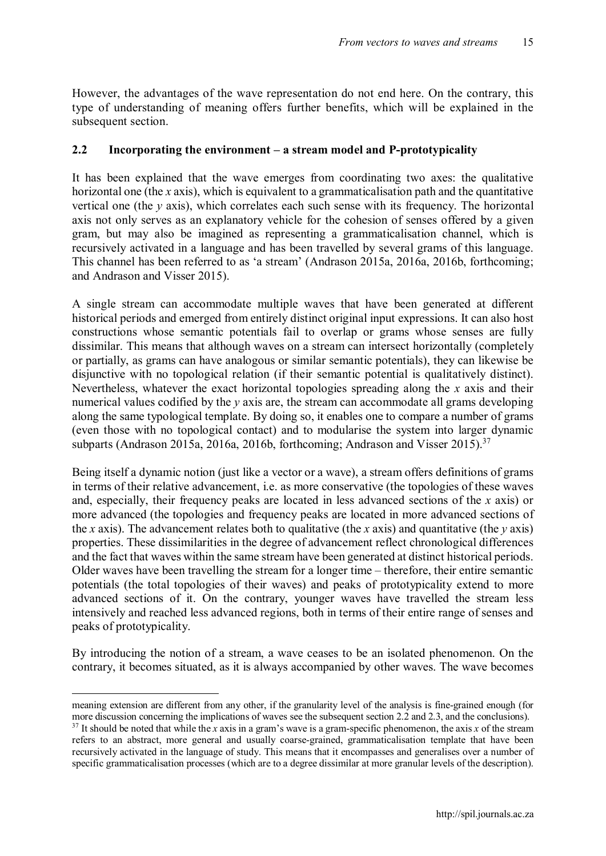However, the advantages of the wave representation do not end here. On the contrary, this type of understanding of meaning offers further benefits, which will be explained in the subsequent section.

#### **2.2 Incorporating the environment – a stream model and P-prototypicality**

It has been explained that the wave emerges from coordinating two axes: the qualitative horizontal one (the *x* axis), which is equivalent to a grammaticalisation path and the quantitative vertical one (the *y* axis), which correlates each such sense with its frequency. The horizontal axis not only serves as an explanatory vehicle for the cohesion of senses offered by a given gram, but may also be imagined as representing a grammaticalisation channel, which is recursively activated in a language and has been travelled by several grams of this language. This channel has been referred to as 'a stream' (Andrason 2015a, 2016a, 2016b, forthcoming; and Andrason and Visser 2015).

A single stream can accommodate multiple waves that have been generated at different historical periods and emerged from entirely distinct original input expressions. It can also host constructions whose semantic potentials fail to overlap or grams whose senses are fully dissimilar. This means that although waves on a stream can intersect horizontally (completely or partially, as grams can have analogous or similar semantic potentials), they can likewise be disjunctive with no topological relation (if their semantic potential is qualitatively distinct). Nevertheless, whatever the exact horizontal topologies spreading along the *x* axis and their numerical values codified by the *y* axis are, the stream can accommodate all grams developing along the same typological template. By doing so, it enables one to compare a number of grams (even those with no topological contact) and to modularise the system into larger dynamic subparts (Andrason 2015a, 2016a, 2016b, forthcoming; Andrason and Visser 2015).<sup>37</sup>

Being itself a dynamic notion (just like a vector or a wave), a stream offers definitions of grams in terms of their relative advancement, i.e. as more conservative (the topologies of these waves and, especially, their frequency peaks are located in less advanced sections of the *x* axis) or more advanced (the topologies and frequency peaks are located in more advanced sections of the *x* axis). The advancement relates both to qualitative (the *x* axis) and quantitative (the *y* axis) properties. These dissimilarities in the degree of advancement reflect chronological differences and the fact that waves within the same stream have been generated at distinct historical periods. Older waves have been travelling the stream for a longer time – therefore, their entire semantic potentials (the total topologies of their waves) and peaks of prototypicality extend to more advanced sections of it. On the contrary, younger waves have travelled the stream less intensively and reached less advanced regions, both in terms of their entire range of senses and peaks of prototypicality.

By introducing the notion of a stream, a wave ceases to be an isolated phenomenon. On the contrary, it becomes situated, as it is always accompanied by other waves. The wave becomes

meaning extension are different from any other, if the granularity level of the analysis is fine-grained enough (for more discussion concerning the implications of waves see the subsequent section 2.2 and 2.3, and the conclusions).

 $37$  It should be noted that while the *x* axis in a gram's wave is a gram-specific phenomenon, the axis *x* of the stream refers to an abstract, more general and usually coarse-grained, grammaticalisation template that have been recursively activated in the language of study. This means that it encompasses and generalises over a number of specific grammaticalisation processes (which are to a degree dissimilar at more granular levels of the description).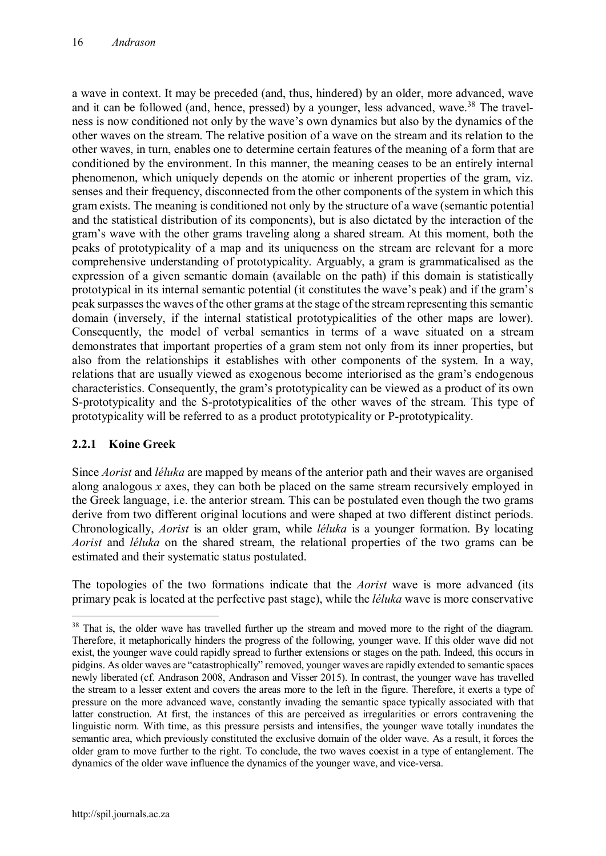a wave in context. It may be preceded (and, thus, hindered) by an older, more advanced, wave and it can be followed (and, hence, pressed) by a younger, less advanced, wave.<sup>38</sup> The travelness is now conditioned not only by the wave's own dynamics but also by the dynamics of the other waves on the stream. The relative position of a wave on the stream and its relation to the other waves, in turn, enables one to determine certain features of the meaning of a form that are conditioned by the environment. In this manner, the meaning ceases to be an entirely internal phenomenon, which uniquely depends on the atomic or inherent properties of the gram, viz. senses and their frequency, disconnected from the other components of the system in which this gram exists. The meaning is conditioned not only by the structure of a wave (semantic potential and the statistical distribution of its components), but is also dictated by the interaction of the gram's wave with the other grams traveling along a shared stream. At this moment, both the peaks of prototypicality of a map and its uniqueness on the stream are relevant for a more comprehensive understanding of prototypicality. Arguably, a gram is grammaticalised as the expression of a given semantic domain (available on the path) if this domain is statistically prototypical in its internal semantic potential (it constitutes the wave's peak) and if the gram's peak surpasses the waves of the other grams at the stage of the stream representing this semantic domain (inversely, if the internal statistical prototypicalities of the other maps are lower). Consequently, the model of verbal semantics in terms of a wave situated on a stream demonstrates that important properties of a gram stem not only from its inner properties, but also from the relationships it establishes with other components of the system. In a way, relations that are usually viewed as exogenous become interiorised as the gram's endogenous characteristics. Consequently, the gram's prototypicality can be viewed as a product of its own S-prototypicality and the S-prototypicalities of the other waves of the stream. This type of prototypicality will be referred to as a product prototypicality or P-prototypicality.

## **2.2.1 Koine Greek**

Since *Aorist* and *léluka* are mapped by means of the anterior path and their waves are organised along analogous *x* axes, they can both be placed on the same stream recursively employed in the Greek language, i.e. the anterior stream. This can be postulated even though the two grams derive from two different original locutions and were shaped at two different distinct periods. Chronologically, *Aorist* is an older gram, while *léluka* is a younger formation. By locating *Aorist* and *léluka* on the shared stream, the relational properties of the two grams can be estimated and their systematic status postulated.

The topologies of the two formations indicate that the *Aorist* wave is more advanced (its primary peak is located at the perfective past stage), while the *léluka* wave is more conservative

<sup>&</sup>lt;sup>38</sup> That is, the older wave has travelled further up the stream and moved more to the right of the diagram. Therefore, it metaphorically hinders the progress of the following, younger wave. If this older wave did not exist, the younger wave could rapidly spread to further extensions or stages on the path. Indeed, this occurs in pidgins. As older waves are "catastrophically" removed, younger waves are rapidly extended to semantic spaces newly liberated (cf. Andrason 2008, Andrason and Visser 2015). In contrast, the younger wave has travelled the stream to a lesser extent and covers the areas more to the left in the figure. Therefore, it exerts a type of pressure on the more advanced wave, constantly invading the semantic space typically associated with that latter construction. At first, the instances of this are perceived as irregularities or errors contravening the linguistic norm. With time, as this pressure persists and intensifies, the younger wave totally inundates the semantic area, which previously constituted the exclusive domain of the older wave. As a result, it forces the older gram to move further to the right. To conclude, the two waves coexist in a type of entanglement. The dynamics of the older wave influence the dynamics of the younger wave, and vice-versa.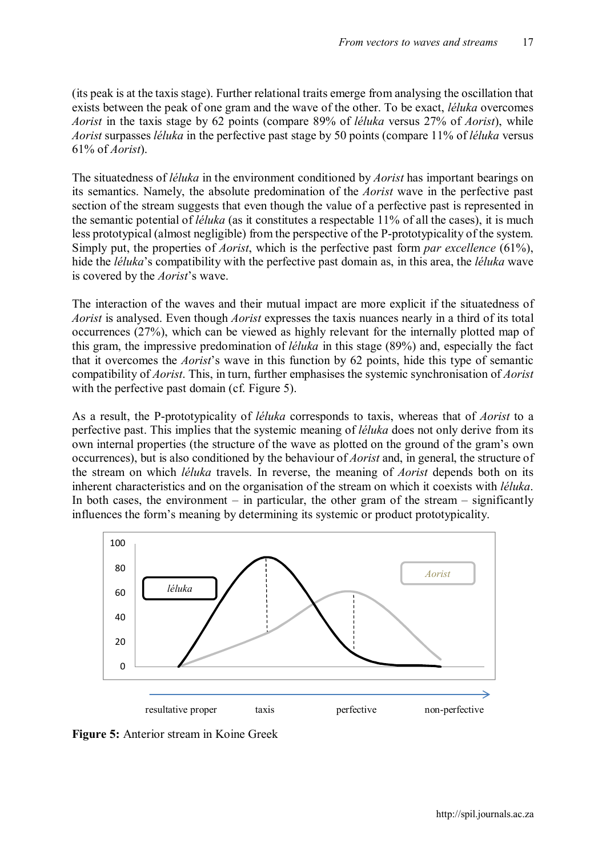(its peak is at the taxis stage). Further relational traits emerge from analysing the oscillation that exists between the peak of one gram and the wave of the other. To be exact, *léluka* overcomes *Aorist* in the taxis stage by 62 points (compare 89% of *léluka* versus 27% of *Aorist*), while *Aorist* surpasses *léluka* in the perfective past stage by 50 points (compare 11% of *léluka* versus 61% of *Aorist*).

The situatedness of *léluka* in the environment conditioned by *Aorist* has important bearings on its semantics. Namely, the absolute predomination of the *Aorist* wave in the perfective past section of the stream suggests that even though the value of a perfective past is represented in the semantic potential of *léluka* (as it constitutes a respectable 11% of all the cases), it is much less prototypical (almost negligible) from the perspective of the P-prototypicality of the system. Simply put, the properties of *Aorist*, which is the perfective past form *par excellence* (61%), hide the *léluka*'s compatibility with the perfective past domain as, in this area, the *léluka* wave is covered by the *Aorist*'s wave.

The interaction of the waves and their mutual impact are more explicit if the situatedness of *Aorist* is analysed. Even though *Aorist* expresses the taxis nuances nearly in a third of its total occurrences (27%), which can be viewed as highly relevant for the internally plotted map of this gram, the impressive predomination of *léluka* in this stage (89%) and, especially the fact that it overcomes the *Aorist*'s wave in this function by 62 points, hide this type of semantic compatibility of *Aorist*. This, in turn, further emphasises the systemic synchronisation of *Aorist*  with the perfective past domain (cf. Figure 5).

As a result, the P-prototypicality of *léluka* corresponds to taxis, whereas that of *Aorist* to a perfective past. This implies that the systemic meaning of *léluka* does not only derive from its own internal properties (the structure of the wave as plotted on the ground of the gram's own occurrences), but is also conditioned by the behaviour of *Aorist* and, in general, the structure of the stream on which *léluka* travels. In reverse, the meaning of *Aorist* depends both on its inherent characteristics and on the organisation of the stream on which it coexists with *léluka*. In both cases, the environment  $-$  in particular, the other gram of the stream  $-$  significantly influences the form's meaning by determining its systemic or product prototypicality.



**Figure 5:** Anterior stream in Koine Greek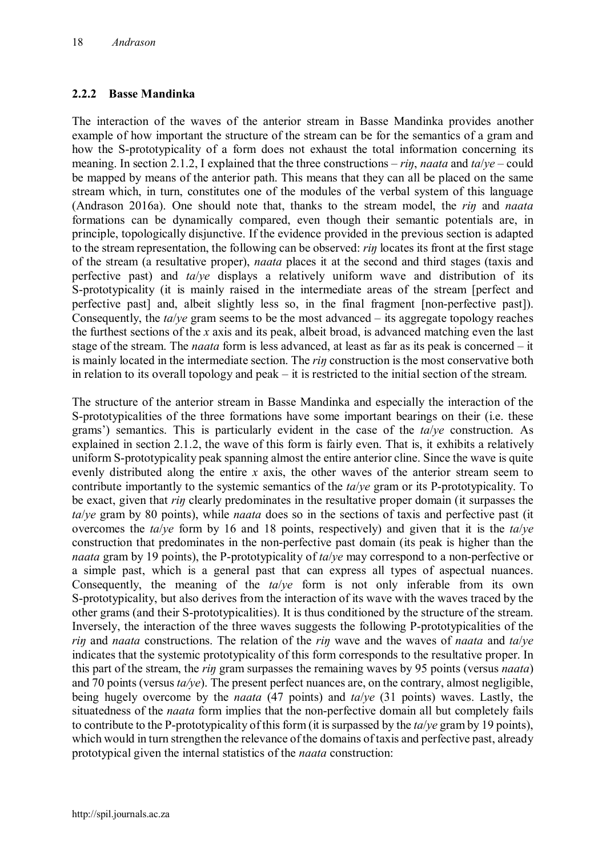#### **2.2.2 Basse Mandinka**

The interaction of the waves of the anterior stream in Basse Mandinka provides another example of how important the structure of the stream can be for the semantics of a gram and how the S-prototypicality of a form does not exhaust the total information concerning its meaning. In section 2.1.2, I explained that the three constructions – *riŋ*, *naata* and *ta*/*ye* – could be mapped by means of the anterior path. This means that they can all be placed on the same stream which, in turn, constitutes one of the modules of the verbal system of this language (Andrason 2016a). One should note that, thanks to the stream model, the *riŋ* and *naata*  formations can be dynamically compared, even though their semantic potentials are, in principle, topologically disjunctive. If the evidence provided in the previous section is adapted to the stream representation, the following can be observed: *riŋ* locates its front at the first stage of the stream (a resultative proper), *naata* places it at the second and third stages (taxis and perfective past) and *ta*/*ye* displays a relatively uniform wave and distribution of its S-prototypicality (it is mainly raised in the intermediate areas of the stream [perfect and perfective past] and, albeit slightly less so, in the final fragment [non-perfective past]). Consequently, the *ta/ye* gram seems to be the most advanced – its aggregate topology reaches the furthest sections of the *x* axis and its peak, albeit broad, is advanced matching even the last stage of the stream. The *naata* form is less advanced, at least as far as its peak is concerned – it is mainly located in the intermediate section. The *riŋ* construction is the most conservative both in relation to its overall topology and peak – it is restricted to the initial section of the stream.

The structure of the anterior stream in Basse Mandinka and especially the interaction of the S-prototypicalities of the three formations have some important bearings on their (i.e. these grams') semantics. This is particularly evident in the case of the *ta*/*ye* construction. As explained in section 2.1.2, the wave of this form is fairly even. That is, it exhibits a relatively uniform S-prototypicality peak spanning almost the entire anterior cline. Since the wave is quite evenly distributed along the entire *x* axis, the other waves of the anterior stream seem to contribute importantly to the systemic semantics of the *ta*/*ye* gram or its P-prototypicality. To be exact, given that *riŋ* clearly predominates in the resultative proper domain (it surpasses the *ta*/*ye* gram by 80 points), while *naata* does so in the sections of taxis and perfective past (it overcomes the *ta*/*ye* form by 16 and 18 points, respectively) and given that it is the *ta*/*ye* construction that predominates in the non-perfective past domain (its peak is higher than the *naata* gram by 19 points), the P-prototypicality of *ta*/*ye* may correspond to a non-perfective or a simple past, which is a general past that can express all types of aspectual nuances. Consequently, the meaning of the *ta*/*ye* form is not only inferable from its own S-prototypicality, but also derives from the interaction of its wave with the waves traced by the other grams (and their S-prototypicalities). It is thus conditioned by the structure of the stream. Inversely, the interaction of the three waves suggests the following P-prototypicalities of the *riŋ* and *naata* constructions. The relation of the *riŋ* wave and the waves of *naata* and *ta*/*ye* indicates that the systemic prototypicality of this form corresponds to the resultative proper. In this part of the stream, the *riŋ* gram surpasses the remaining waves by 95 points (versus *naata*) and 70 points (versus *ta/ye*). The present perfect nuances are, on the contrary, almost negligible, being hugely overcome by the *naata* (47 points) and *ta*/*ye* (31 points) waves. Lastly, the situatedness of the *naata* form implies that the non-perfective domain all but completely fails to contribute to the P-prototypicality of this form (it is surpassed by the *ta*/*ye* gram by 19 points), which would in turn strengthen the relevance of the domains of taxis and perfective past, already prototypical given the internal statistics of the *naata* construction: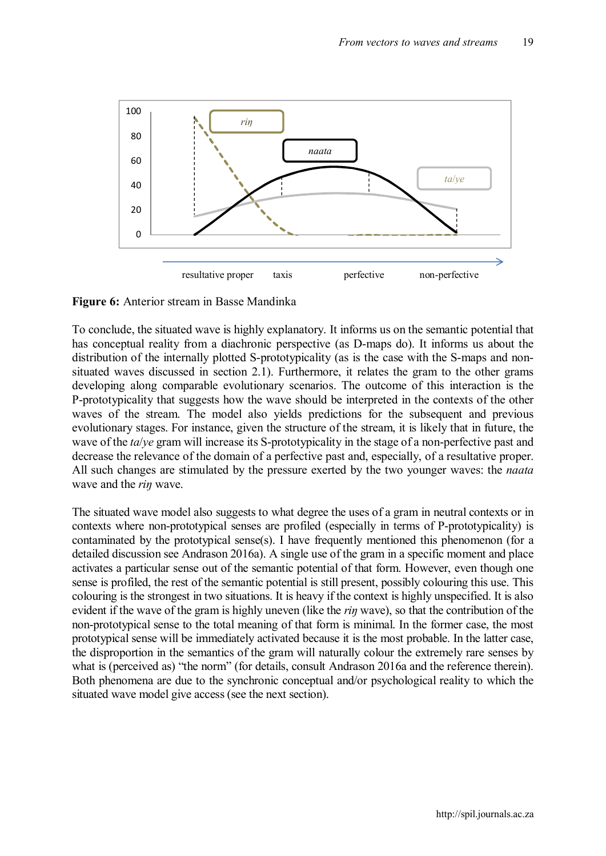

**Figure 6:** Anterior stream in Basse Mandinka

To conclude, the situated wave is highly explanatory. It informs us on the semantic potential that has conceptual reality from a diachronic perspective (as D-maps do). It informs us about the distribution of the internally plotted S-prototypicality (as is the case with the S-maps and nonsituated waves discussed in section 2.1). Furthermore, it relates the gram to the other grams developing along comparable evolutionary scenarios. The outcome of this interaction is the P-prototypicality that suggests how the wave should be interpreted in the contexts of the other waves of the stream. The model also yields predictions for the subsequent and previous evolutionary stages. For instance, given the structure of the stream, it is likely that in future, the wave of the *ta*/*ye* gram will increase its S-prototypicality in the stage of a non-perfective past and decrease the relevance of the domain of a perfective past and, especially, of a resultative proper. All such changes are stimulated by the pressure exerted by the two younger waves: the *naata* wave and the *riŋ* wave.

The situated wave model also suggests to what degree the uses of a gram in neutral contexts or in contexts where non-prototypical senses are profiled (especially in terms of P-prototypicality) is contaminated by the prototypical sense(s). I have frequently mentioned this phenomenon (for a detailed discussion see Andrason 2016a). A single use of the gram in a specific moment and place activates a particular sense out of the semantic potential of that form. However, even though one sense is profiled, the rest of the semantic potential is still present, possibly colouring this use. This colouring is the strongest in two situations. It is heavy if the context is highly unspecified. It is also evident if the wave of the gram is highly uneven (like the *riŋ* wave), so that the contribution of the non-prototypical sense to the total meaning of that form is minimal. In the former case, the most prototypical sense will be immediately activated because it is the most probable. In the latter case, the disproportion in the semantics of the gram will naturally colour the extremely rare senses by what is (perceived as) "the norm" (for details, consult Andrason 2016a and the reference therein). Both phenomena are due to the synchronic conceptual and/or psychological reality to which the situated wave model give access (see the next section).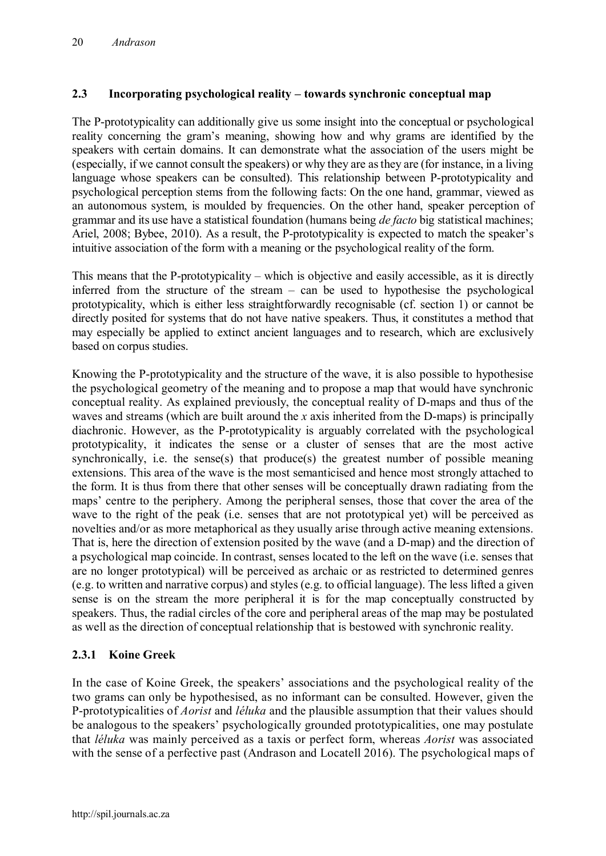# **2.3 Incorporating psychological reality – towards synchronic conceptual map**

The P-prototypicality can additionally give us some insight into the conceptual or psychological reality concerning the gram's meaning, showing how and why grams are identified by the speakers with certain domains. It can demonstrate what the association of the users might be (especially, if we cannot consult the speakers) or why they are as they are (for instance, in a living language whose speakers can be consulted). This relationship between P-prototypicality and psychological perception stems from the following facts: On the one hand, grammar, viewed as an autonomous system, is moulded by frequencies. On the other hand, speaker perception of grammar and its use have a statistical foundation (humans being *de facto* big statistical machines; Ariel, 2008; Bybee, 2010). As a result, the P-prototypicality is expected to match the speaker's intuitive association of the form with a meaning or the psychological reality of the form.

This means that the P-prototypicality – which is objective and easily accessible, as it is directly inferred from the structure of the stream – can be used to hypothesise the psychological prototypicality, which is either less straightforwardly recognisable (cf. section 1) or cannot be directly posited for systems that do not have native speakers. Thus, it constitutes a method that may especially be applied to extinct ancient languages and to research, which are exclusively based on corpus studies.

Knowing the P-prototypicality and the structure of the wave, it is also possible to hypothesise the psychological geometry of the meaning and to propose a map that would have synchronic conceptual reality. As explained previously, the conceptual reality of D-maps and thus of the waves and streams (which are built around the *x* axis inherited from the D-maps) is principally diachronic. However, as the P-prototypicality is arguably correlated with the psychological prototypicality, it indicates the sense or a cluster of senses that are the most active synchronically, i.e. the sense(s) that produce(s) the greatest number of possible meaning extensions. This area of the wave is the most semanticised and hence most strongly attached to the form. It is thus from there that other senses will be conceptually drawn radiating from the maps' centre to the periphery. Among the peripheral senses, those that cover the area of the wave to the right of the peak (i.e. senses that are not prototypical yet) will be perceived as novelties and/or as more metaphorical as they usually arise through active meaning extensions. That is, here the direction of extension posited by the wave (and a D-map) and the direction of a psychological map coincide. In contrast, senses located to the left on the wave (i.e. senses that are no longer prototypical) will be perceived as archaic or as restricted to determined genres (e.g. to written and narrative corpus) and styles (e.g. to official language). The less lifted a given sense is on the stream the more peripheral it is for the map conceptually constructed by speakers. Thus, the radial circles of the core and peripheral areas of the map may be postulated as well as the direction of conceptual relationship that is bestowed with synchronic reality.

## **2.3.1 Koine Greek**

In the case of Koine Greek, the speakers' associations and the psychological reality of the two grams can only be hypothesised, as no informant can be consulted. However, given the P-prototypicalities of *Aorist* and *léluka* and the plausible assumption that their values should be analogous to the speakers' psychologically grounded prototypicalities, one may postulate that *léluka* was mainly perceived as a taxis or perfect form, whereas *Aorist* was associated with the sense of a perfective past (Andrason and Locatell 2016). The psychological maps of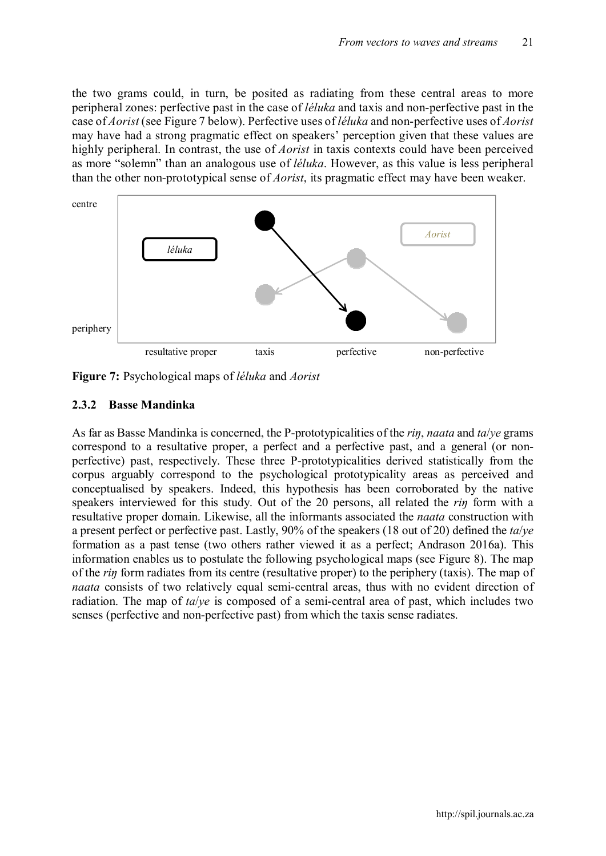the two grams could, in turn, be posited as radiating from these central areas to more peripheral zones: perfective past in the case of *léluka* and taxis and non-perfective past in the case of *Aorist* (see Figure 7 below). Perfective uses of *léluka* and non-perfective uses of *Aorist* may have had a strong pragmatic effect on speakers' perception given that these values are highly peripheral. In contrast, the use of *Aorist* in taxis contexts could have been perceived as more "solemn" than an analogous use of *léluka*. However, as this value is less peripheral than the other non-prototypical sense of *Aorist*, its pragmatic effect may have been weaker.



**Figure 7:** Psychological maps of *léluka* and *Aorist*

## **2.3.2 Basse Mandinka**

As far as Basse Mandinka is concerned, the P-prototypicalities of the *riŋ*, *naata* and *ta*/*ye* grams correspond to a resultative proper, a perfect and a perfective past, and a general (or nonperfective) past, respectively. These three P-prototypicalities derived statistically from the corpus arguably correspond to the psychological prototypicality areas as perceived and conceptualised by speakers. Indeed, this hypothesis has been corroborated by the native speakers interviewed for this study. Out of the 20 persons, all related the *riŋ* form with a resultative proper domain. Likewise, all the informants associated the *naata* construction with a present perfect or perfective past. Lastly, 90% of the speakers (18 out of 20) defined the *ta*/*ye* formation as a past tense (two others rather viewed it as a perfect; Andrason 2016a). This information enables us to postulate the following psychological maps (see Figure 8). The map of the *riŋ* form radiates from its centre (resultative proper) to the periphery (taxis). The map of *naata* consists of two relatively equal semi-central areas, thus with no evident direction of radiation. The map of *ta*/*ye* is composed of a semi-central area of past, which includes two senses (perfective and non-perfective past) from which the taxis sense radiates.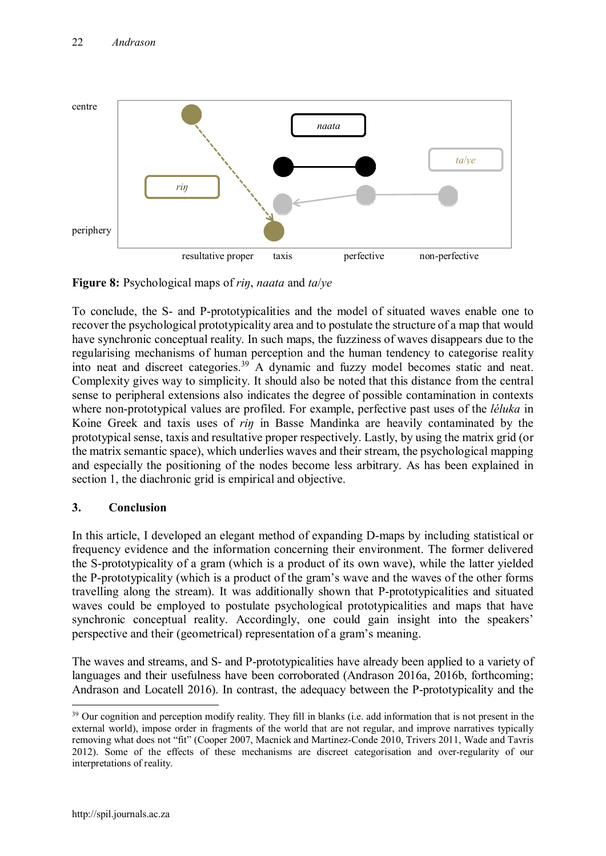

**Figure 8:** Psychological maps of *riŋ*, *naata* and *ta*/*ye*

To conclude, the S- and P-prototypicalities and the model of situated waves enable one to recover the psychological prototypicality area and to postulate the structure of a map that would have synchronic conceptual reality. In such maps, the fuzziness of waves disappears due to the regularising mechanisms of human perception and the human tendency to categorise reality into neat and discreet categories.<sup>39</sup> A dynamic and fuzzy model becomes static and neat. Complexity gives way to simplicity. It should also be noted that this distance from the central sense to peripheral extensions also indicates the degree of possible contamination in contexts where non-prototypical values are profiled. For example, perfective past uses of the *léluka* in Koine Greek and taxis uses of *riŋ* in Basse Mandinka are heavily contaminated by the prototypical sense, taxis and resultative proper respectively. Lastly, by using the matrix grid (or the matrix semantic space), which underlies waves and their stream, the psychological mapping and especially the positioning of the nodes become less arbitrary. As has been explained in section 1, the diachronic grid is empirical and objective.

## **3. Conclusion**

In this article, I developed an elegant method of expanding D-maps by including statistical or frequency evidence and the information concerning their environment. The former delivered the S-prototypicality of a gram (which is a product of its own wave), while the latter yielded the P-prototypicality (which is a product of the gram's wave and the waves of the other forms travelling along the stream). It was additionally shown that P-prototypicalities and situated waves could be employed to postulate psychological prototypicalities and maps that have synchronic conceptual reality. Accordingly, one could gain insight into the speakers' perspective and their (geometrical) representation of a gram's meaning.

The waves and streams, and S- and P-prototypicalities have already been applied to a variety of languages and their usefulness have been corroborated (Andrason 2016a, 2016b, forthcoming; Andrason and Locatell 2016). In contrast, the adequacy between the P-prototypicality and the

<sup>&</sup>lt;sup>39</sup> Our cognition and perception modify reality. They fill in blanks (i.e. add information that is not present in the external world), impose order in fragments of the world that are not regular, and improve narratives typically removing what does not "fit" (Cooper 2007, Macnick and Martinez-Conde 2010, Trivers 2011, Wade and Tavris 2012). Some of the effects of these mechanisms are discreet categorisation and over-regularity of our interpretations of reality.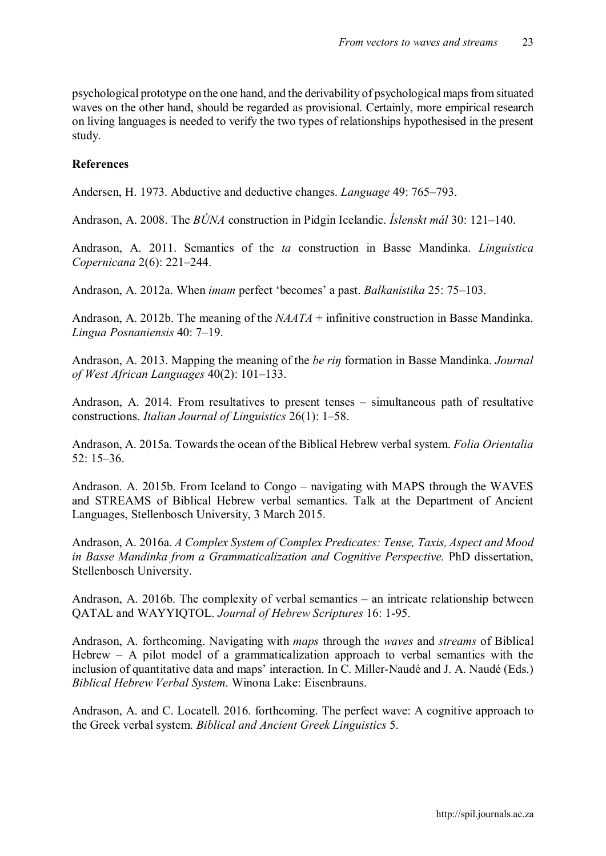psychological prototype on the one hand, and the derivability of psychological maps from situated waves on the other hand, should be regarded as provisional. Certainly, more empirical research on living languages is needed to verify the two types of relationships hypothesised in the present study.

#### **References**

Andersen, H. 1973. Abductive and deductive changes. *Language* 49: 765–793.

Andrason, A. 2008. The *BÚNA* construction in Pidgin Icelandic. *Íslenskt mál* 30: 121–140.

Andrason, A. 2011. Semantics of the *ta* construction in Basse Mandinka. *Linguistica Copernicana* 2(6): 221–244.

Andrason, A. 2012a. When *imam* perfect 'becomes' a past. *Balkanistika* 25: 75–103.

Andrason, A. 2012b. The meaning of the *NAATA* + infinitive construction in Basse Mandinka. *Lingua Posnaniensis* 40: 7–19.

Andrason, A. 2013. Mapping the meaning of the *be riŋ* formation in Basse Mandinka. *Journal of West African Languages* 40(2): 101–133.

Andrason, A. 2014. From resultatives to present tenses – simultaneous path of resultative constructions. *Italian Journal of Linguistics* 26(1): 1–58.

Andrason, A. 2015a. Towards the ocean of the Biblical Hebrew verbal system. *Folia Orientalia* 52: 15–36.

Andrason. A. 2015b. From Iceland to Congo – navigating with MAPS through the WAVES and STREAMS of Biblical Hebrew verbal semantics. Talk at the Department of Ancient Languages, Stellenbosch University, 3 March 2015.

Andrason, A. 2016a. *A Complex System of Complex Predicates: Tense, Taxis, Aspect and Mood in Basse Mandinka from a Grammaticalization and Cognitive Perspective.* PhD dissertation, Stellenbosch University.

Andrason, A. 2016b. The complexity of verbal semantics – an intricate relationship between QATAL and WAYYIQTOL. *Journal of Hebrew Scriptures* 16: 1-95.

Andrason, A. forthcoming. Navigating with *maps* through the *waves* and *streams* of Biblical Hebrew – A pilot model of a grammaticalization approach to verbal semantics with the inclusion of quantitative data and maps' interaction. In C. Miller-Naudé and J. A. Naudé (Eds.) *Biblical Hebrew Verbal System*. Winona Lake: Eisenbrauns.

Andrason, A. and C. Locatell. 2016. forthcoming. The perfect wave: A cognitive approach to the Greek verbal system. *Biblical and Ancient Greek Linguistics* 5.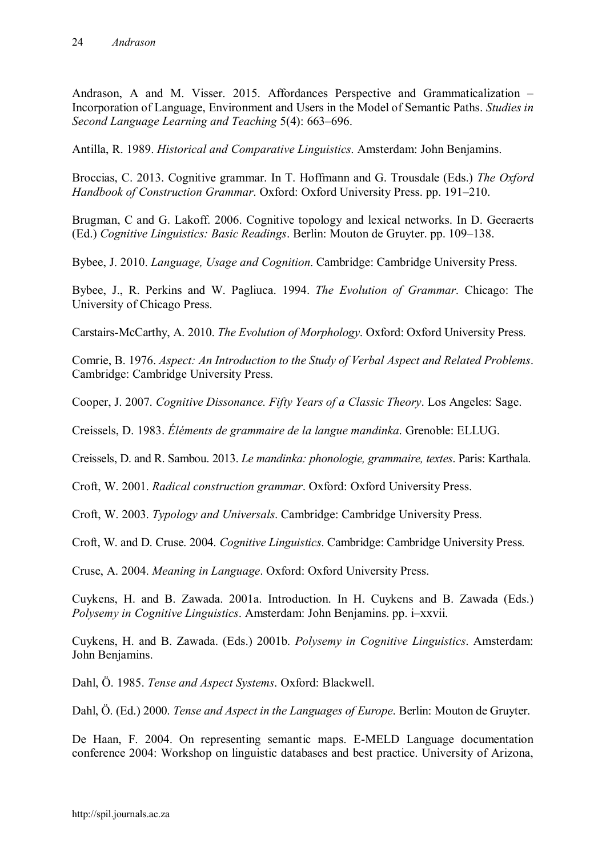Andrason, A and M. Visser. 2015. Affordances Perspective and Grammaticalization – Incorporation of Language, Environment and Users in the Model of Semantic Paths. *Studies in Second Language Learning and Teaching* 5(4): 663–696.

Antilla, R. 1989. *Historical and Comparative Linguistics*. Amsterdam: John Benjamins.

Broccias, C. 2013. Cognitive grammar. In T. Hoffmann and G. Trousdale (Eds.) *The Oxford Handbook of Construction Grammar*. Oxford: Oxford University Press. pp. 191–210.

Brugman, C and G. Lakoff. 2006. Cognitive topology and lexical networks. In D. Geeraerts (Ed.) *Cognitive Linguistics: Basic Readings*. Berlin: Mouton de Gruyter. pp. 109–138.

Bybee, J. 2010. *Language, Usage and Cognition*. Cambridge: Cambridge University Press.

Bybee, J., R. Perkins and W. Pagliuca. 1994. *The Evolution of Grammar*. Chicago: The University of Chicago Press.

Carstairs-McCarthy, A. 2010. *The Evolution of Morphology*. Oxford: Oxford University Press.

Comrie, B. 1976. *Aspect: An Introduction to the Study of Verbal Aspect and Related Problems*. Cambridge: Cambridge University Press.

Cooper, J. 2007. *Cognitive Dissonance. Fifty Years of a Classic Theory*. Los Angeles: Sage.

Creissels, D. 1983. *Éléments de grammaire de la langue mandinka*. Grenoble: ELLUG.

Creissels, D. and R. Sambou. 2013. *Le mandinka: phonologie, grammaire, textes*. Paris: Karthala.

Croft, W. 2001. *Radical construction grammar*. Oxford: Oxford University Press.

Croft, W. 2003. *Typology and Universals*. Cambridge: Cambridge University Press.

Croft, W. and D. Cruse. 2004. *Cognitive Linguistics*. Cambridge: Cambridge University Press.

Cruse, A. 2004. *Meaning in Language*. Oxford: Oxford University Press.

Cuykens, H. and B. Zawada. 2001a. Introduction. In H. Cuykens and B. Zawada (Eds.) *Polysemy in Cognitive Linguistics*. Amsterdam: John Benjamins. pp. i–xxvii.

Cuykens, H. and B. Zawada. (Eds.) 2001b. *Polysemy in Cognitive Linguistics*. Amsterdam: John Benjamins.

Dahl, Ö. 1985. *Tense and Aspect Systems*. Oxford: Blackwell.

Dahl, Ö. (Ed.) 2000. *Tense and Aspect in the Languages of Europe*. Berlin: Mouton de Gruyter.

De Haan, F. 2004. On representing semantic maps. E-MELD Language documentation conference 2004: Workshop on linguistic databases and best practice. University of Arizona,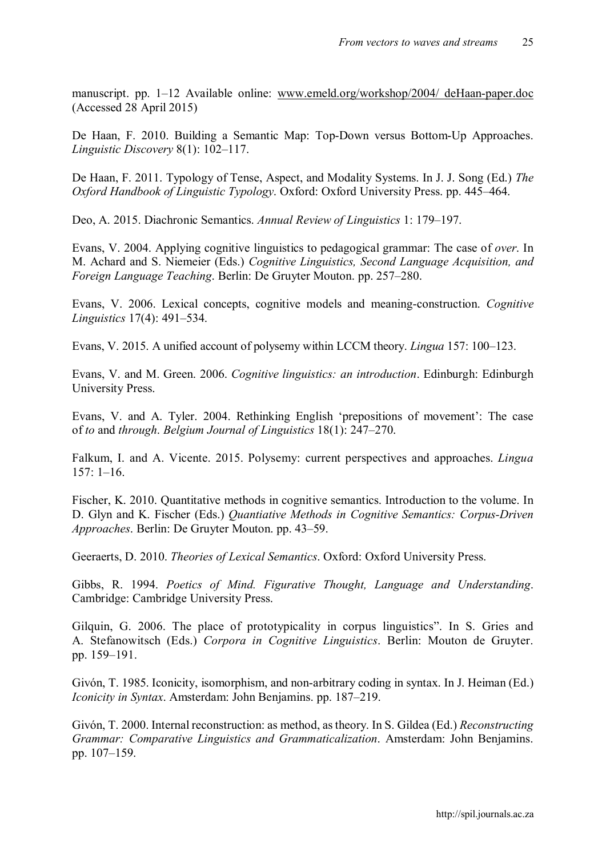manuscript. pp. 1–12 Available online: [www.emeld.org/workshop/2004/ deHaan-paper.doc](http://www.emeld.org/workshop/2004/ deHaan-paper.doc) (Accessed 28 April 2015)

De Haan, F. 2010. Building a Semantic Map: Top-Down versus Bottom-Up Approaches. *Linguistic Discovery* 8(1): 102–117.

De Haan, F. 2011. Typology of Tense, Aspect, and Modality Systems. In J. J. Song (Ed.) *The Oxford Handbook of Linguistic Typology*. Oxford: Oxford University Press. pp. 445–464.

Deo, A. 2015. Diachronic Semantics. *Annual Review of Linguistics* 1: 179–197.

Evans, V. 2004. Applying cognitive linguistics to pedagogical grammar: The case of *over*. In M. Achard and S. Niemeier (Eds.) *Cognitive Linguistics, Second Language Acquisition, and Foreign Language Teaching*. Berlin: De Gruyter Mouton. pp. 257–280.

Evans, V. 2006. Lexical concepts, cognitive models and meaning-construction. *Cognitive Linguistics* 17(4): 491–534.

Evans, V. 2015. A unified account of polysemy within LCCM theory. *Lingua* 157: 100–123.

Evans, V. and M. Green. 2006. *Cognitive linguistics: an introduction*. Edinburgh: Edinburgh University Press.

Evans, V. and A. Tyler. 2004. Rethinking English 'prepositions of movement': The case of *to* and *through*. *Belgium Journal of Linguistics* 18(1): 247–270.

Falkum, I. and A. Vicente. 2015. Polysemy: current perspectives and approaches. *Lingua*   $157: 1-16.$ 

Fischer, K. 2010. Quantitative methods in cognitive semantics. Introduction to the volume. In D. Glyn and K. Fischer (Eds.) *Quantiative Methods in Cognitive Semantics: Corpus-Driven Approaches*. Berlin: De Gruyter Mouton. pp. 43–59.

Geeraerts, D. 2010. *Theories of Lexical Semantics*. Oxford: Oxford University Press.

Gibbs, R. 1994. *Poetics of Mind. Figurative Thought, Language and Understanding*. Cambridge: Cambridge University Press.

Gilquin, G. 2006. The place of prototypicality in corpus linguistics". In S. Gries and A. Stefanowitsch (Eds.) *Corpora in Cognitive Linguistics*. Berlin: Mouton de Gruyter. pp. 159–191.

Givón, T. 1985. Iconicity, isomorphism, and non-arbitrary coding in syntax. In J. Heiman (Ed.) *Iconicity in Syntax*. Amsterdam: John Benjamins. pp. 187–219.

Givón, T. 2000. Internal reconstruction: as method, as theory. In S. Gildea (Ed.) *Reconstructing Grammar: Comparative Linguistics and Grammaticalization*. Amsterdam: John Benjamins. pp. 107–159.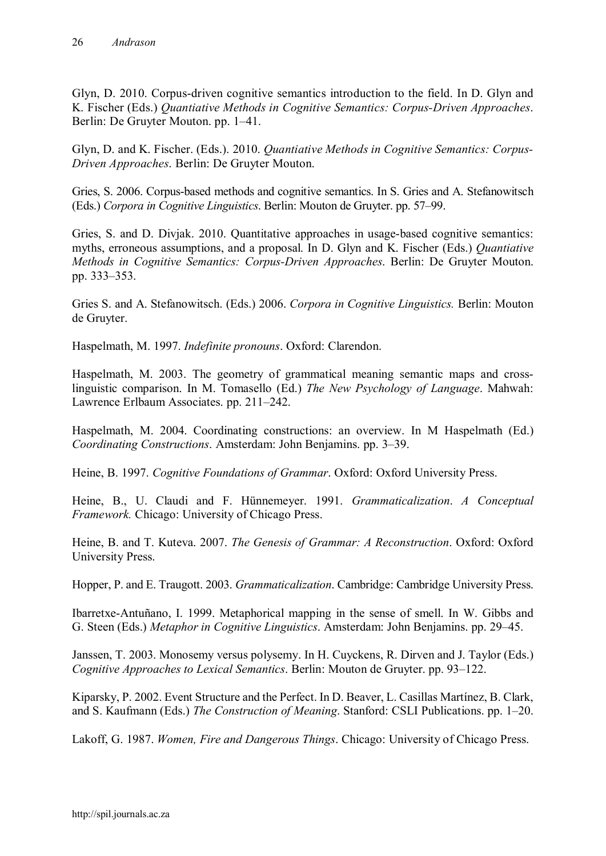Glyn, D. 2010. Corpus-driven cognitive semantics introduction to the field. In D. Glyn and K. Fischer (Eds.) *Quantiative Methods in Cognitive Semantics: Corpus-Driven Approaches*. Berlin: De Gruyter Mouton. pp. 1–41.

Glyn, D. and K. Fischer. (Eds.). 2010. *Quantiative Methods in Cognitive Semantics: Corpus-Driven Approaches*. Berlin: De Gruyter Mouton.

Gries, S. 2006. Corpus-based methods and cognitive semantics. In S. Gries and A. Stefanowitsch (Eds.) *Corpora in Cognitive Linguistics*. Berlin: Mouton de Gruyter. pp. 57–99.

Gries, S. and D. Divjak. 2010. Quantitative approaches in usage-based cognitive semantics: myths, erroneous assumptions, and a proposal. In D. Glyn and K. Fischer (Eds.) *Quantiative Methods in Cognitive Semantics: Corpus-Driven Approaches*. Berlin: De Gruyter Mouton. pp. 333–353.

Gries S. and A. Stefanowitsch. (Eds.) 2006. *Corpora in Cognitive Linguistics.* Berlin: Mouton de Gruyter.

Haspelmath, M. 1997. *Indefinite pronouns*. Oxford: Clarendon.

Haspelmath, M. 2003. The geometry of grammatical meaning semantic maps and crosslinguistic comparison. In M. Tomasello (Ed.) *The New Psychology of Language*. Mahwah: Lawrence Erlbaum Associates. pp. 211–242.

Haspelmath, M. 2004. Coordinating constructions: an overview. In M Haspelmath (Ed.) *Coordinating Constructions*. Amsterdam: John Benjamins. pp. 3–39.

Heine, B. 1997. *Cognitive Foundations of Grammar*. Oxford: Oxford University Press.

Heine, B., U. Claudi and F. Hünnemeyer. 1991. *Grammaticalization*. *A Conceptual Framework.* Chicago: University of Chicago Press.

Heine, B. and T. Kuteva. 2007. *The Genesis of Grammar: A Reconstruction*. Oxford: Oxford University Press.

Hopper, P. and E. Traugott. 2003. *Grammaticalization*. Cambridge: Cambridge University Press.

Ibarretxe-Antuñano, I. 1999. Metaphorical mapping in the sense of smell. In W. Gibbs and G. Steen (Eds.) *Metaphor in Cognitive Linguistics*. Amsterdam: John Benjamins. pp. 29–45.

Janssen, T. 2003. Monosemy versus polysemy. In H. Cuyckens, R. Dirven and J. Taylor (Eds.) *Cognitive Approaches to Lexical Semantics*. Berlin: Mouton de Gruyter. pp. 93–122.

Kiparsky, P. 2002. Event Structure and the Perfect. In D. Beaver, L. Casillas Martínez, B. Clark, and S. Kaufmann (Eds.) *The Construction of Meaning*. Stanford: CSLI Publications. pp. 1–20.

Lakoff, G. 1987. *Women, Fire and Dangerous Things*. Chicago: University of Chicago Press.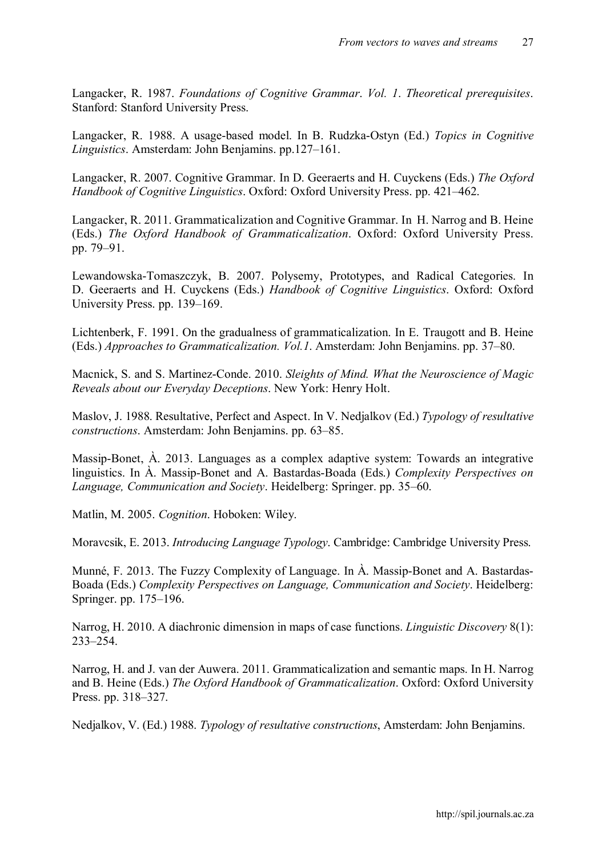Langacker, R. 1987. *Foundations of Cognitive Grammar*. *Vol. 1*. *Theoretical prerequisites*. Stanford: Stanford University Press.

Langacker, R. 1988. A usage-based model. In B. Rudzka-Ostyn (Ed.) *Topics in Cognitive Linguistics*. Amsterdam: John Benjamins. pp.127–161.

Langacker, R. 2007. Cognitive Grammar. In D. Geeraerts and H. Cuyckens (Eds.) *The Oxford Handbook of Cognitive Linguistics*. Oxford: Oxford University Press. pp. 421–462.

Langacker, R. 2011. Grammaticalization and Cognitive Grammar. In H. Narrog and B. Heine (Eds.) *The Oxford Handbook of Grammaticalization*. Oxford: Oxford University Press. pp. 79–91.

Lewandowska-Tomaszczyk, B. 2007. Polysemy, Prototypes, and Radical Categories. In D. Geeraerts and H. Cuyckens (Eds.) *Handbook of Cognitive Linguistics*. Oxford: Oxford University Press. pp. 139–169.

Lichtenberk, F. 1991. On the gradualness of grammaticalization. In E. Traugott and B. Heine (Eds.) *Approaches to Grammaticalization. Vol.1*. Amsterdam: John Benjamins. pp. 37–80.

Macnick, S. and S. Martinez-Conde. 2010. *Sleights of Mind. What the Neuroscience of Magic Reveals about our Everyday Deceptions*. New York: Henry Holt.

Maslov, J. 1988. Resultative, Perfect and Aspect. In V. Nedjalkov (Ed.) *Typology of resultative constructions*. Amsterdam: John Benjamins. pp. 63–85.

Massip-Bonet, À. 2013. Languages as a complex adaptive system: Towards an integrative linguistics. In À. Massip-Bonet and A. Bastardas-Boada (Eds.) *Complexity Perspectives on Language, Communication and Society*. Heidelberg: Springer. pp. 35–60.

Matlin, M. 2005. *Cognition*. Hoboken: Wiley.

Moravcsik, E. 2013. *Introducing Language Typology*. Cambridge: Cambridge University Press.

Munné, F. 2013. The Fuzzy Complexity of Language. In À. Massip-Bonet and A. Bastardas-Boada (Eds.) *Complexity Perspectives on Language, Communication and Society*. Heidelberg: Springer. pp. 175–196.

Narrog, H. 2010. A diachronic dimension in maps of case functions. *Linguistic Discovery* 8(1): 233–254.

Narrog, H. and J. van der Auwera. 2011. Grammaticalization and semantic maps. In H. Narrog and B. Heine (Eds.) *The Oxford Handbook of Grammaticalization*. Oxford: Oxford University Press. pp. 318–327.

Nedjalkov, V. (Ed.) 1988. *Typology of resultative constructions*, Amsterdam: John Benjamins.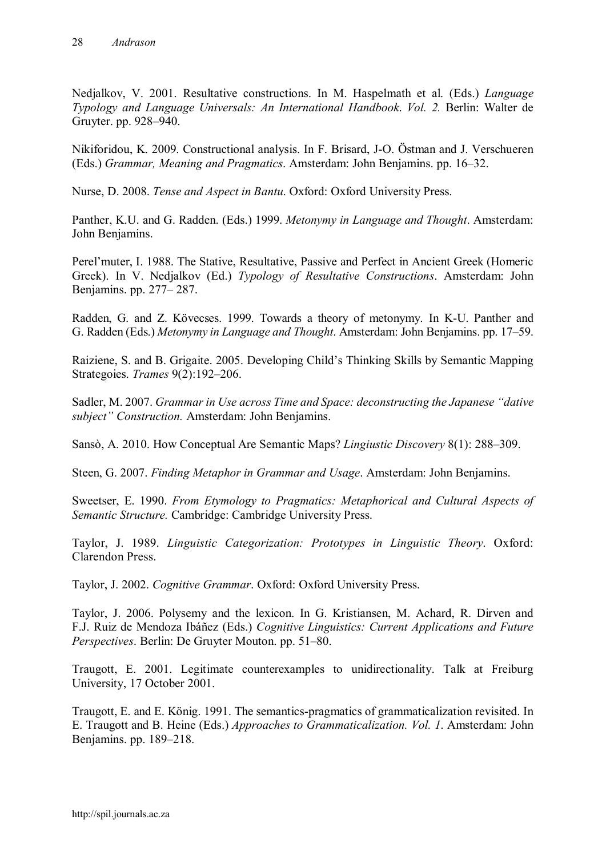Nedjalkov, V. 2001. Resultative constructions. In M. Haspelmath et al. (Eds.) *Language Typology and Language Universals: An International Handbook*. *Vol. 2.* Berlin: Walter de Gruyter. pp. 928–940.

Nikiforidou, K. 2009. Constructional analysis. In F. Brisard, J-O. Östman and J. Verschueren (Eds.) *Grammar, Meaning and Pragmatics*. Amsterdam: John Benjamins. pp. 16–32.

Nurse, D. 2008. *Tense and Aspect in Bantu*. Oxford: Oxford University Press.

Panther, K.U. and G. Radden. (Eds.) 1999. *Metonymy in Language and Thought*. Amsterdam: John Benjamins.

Perel'muter, I. 1988. The Stative, Resultative, Passive and Perfect in Ancient Greek (Homeric Greek). In V. Nedjalkov (Ed.) *Typology of Resultative Constructions*. Amsterdam: John Benjamins. pp. 277– 287.

Radden, G. and Z. Kövecses. 1999. Towards a theory of metonymy. In K-U. Panther and G. Radden (Eds.) *Metonymy in Language and Thought*. Amsterdam: John Benjamins. pp. 17–59.

Raiziene, S. and B. Grigaite. 2005. Developing Child's Thinking Skills by Semantic Mapping Strategoies. *Trames* 9(2):192–206.

Sadler, M. 2007. *Grammar in Use across Time and Space: deconstructing the Japanese "dative subject" Construction.* Amsterdam: John Benjamins.

Sansò, A. 2010. How Conceptual Are Semantic Maps? *Lingiustic Discovery* 8(1): 288–309.

Steen, G. 2007. *Finding Metaphor in Grammar and Usage*. Amsterdam: John Benjamins.

Sweetser, E. 1990. *From Etymology to Pragmatics: Metaphorical and Cultural Aspects of Semantic Structure.* Cambridge: Cambridge University Press.

Taylor, J. 1989. *Linguistic Categorization: Prototypes in Linguistic Theory*. Oxford: Clarendon Press.

Taylor, J. 2002. *Cognitive Grammar*. Oxford: Oxford University Press.

Taylor, J. 2006. Polysemy and the lexicon. In G. Kristiansen, M. Achard, R. Dirven and F.J. Ruiz de Mendoza Ibáñez (Eds.) *Cognitive Linguistics: Current Applications and Future Perspectives*. Berlin: De Gruyter Mouton. pp. 51–80.

Traugott, E. 2001. Legitimate counterexamples to unidirectionality. Talk at Freiburg University, 17 October 2001.

Traugott, E. and E. König. 1991. The semantics-pragmatics of grammaticalization revisited. In E. Traugott and B. Heine (Eds.) *Approaches to Grammaticalization. Vol. 1*. Amsterdam: John Benjamins. pp. 189–218.